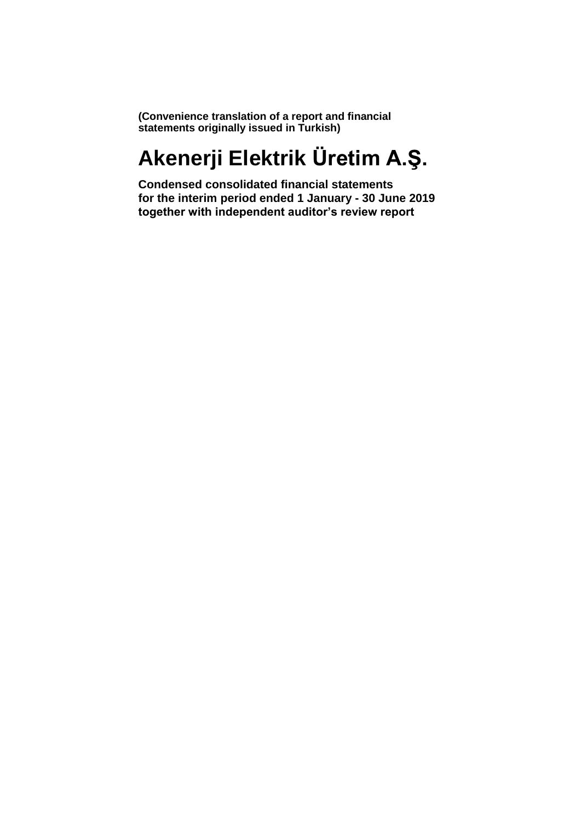**(Convenience translation of a report and financial statements originally issued in Turkish)**

# **Akenerji Elektrik Üretim A.Ş.**

**Condensed consolidated financial statements for the interim period ended 1 January - 30 June 2019 together with independent auditor's review report**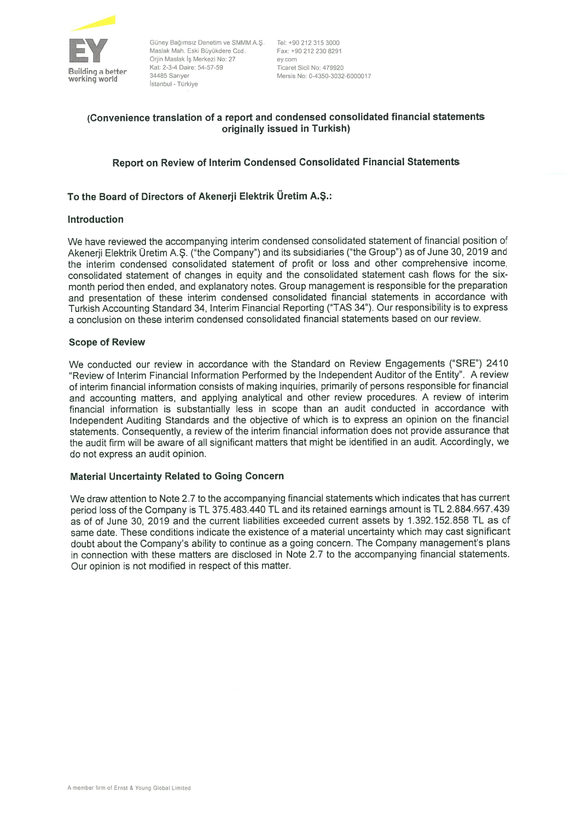

E Güney Bağımsız Denetim ve SMMM A.Ş. Tel: +90 <sup>212</sup> <sup>315</sup> <sup>3000</sup> Maslak Mah. Eski Büyükdere Cad. Fax: +90 <sup>212</sup> <sup>230</sup> <sup>8291</sup> Orjin Maslak iş Merkezi No: <sup>27</sup> ey.com <sup>5</sup> 1d <sup>b</sup> Kat: 2-3-4 Daire: 54-57-59 Ticaret Sicil No: <sup>479920</sup> İstanbul - Türkiye

Mersis No: 0-4350-3032-6000017

## (Convenience translation of <sup>a</sup> repor<sup>t</sup> and condensed consolidated financial statements originaliy issued in Turkish)

## Report on Review of Interim Condensed Consolidated Financial Statements

## To the Board of Directors of Akenerji Elektrik Üretim A.S.:

## lntroduction

We have reviewed the accompanying interim condensed consolidated statement of financial position of Akenerji Elektrik Üretim A.Ş. ("the Company") and its subsidiaries ("the Group") as of June 30, 2019 and the interim condensed consolidated statement of profit or loss and other comprehensive income, consolidated statement of changes in equity and the consolidated statement cash flows for the six month period then ended, and explanatory notes. Group managemen<sup>t</sup> is responsible for the preparation and presentation of these interim condensed consolidated financial statements in accordance with Turkish Accounting Standard 34, Interim Financial Reporting ("TAS 34"). Our responsibility ısto express <sup>a</sup> conclusion on these interim condensed consolidated financial statements based on our review.

## Scope of Review

We conducted our review in accordance with the Standard on Review Engagements ("SRE") 2410 "Review of Interim Financial Information Performed by the lndependent Auditor of the Entity". <sup>A</sup> review of interim financial information consists of making inquiries, primariiy of persons responsible for financial and accounting matters, and applying analytical and other review procedures. <sup>A</sup> review of interim financial information is substantially less in scope than an audit conducted in accordance with lndependent Auditing Standards and the objective of which is to express an opinion on the financial statements. Consequently, <sup>a</sup> review of the interim financial information does not provide assurance that the audit firm will be aware of all significant matters that might be identified in an audit. Accordingly, we do not express an audit opinion.

## Material Uncertainty Related to Going Concern

We draw attention to Note 2.7 to the accompanying financial statements which indicates that has current period loss of the Company is TL 375.483.440 TL and its retained earnings amount is TL 2.884.667.439 as of of June 30, 2019 and the current liabilities exceeded current assets by 1.392.152.858 TL as of same date. These conditions indicate the existence of <sup>a</sup> material uncertainty which may cast significant doubt about the Company's ability to continue as <sup>a</sup> going concern. The Company management's <sup>p</sup>lans in connection with these matters are disclosed in Note 2.7 to the accompanying financial statements. Our opinion is not modified in respec<sup>t</sup> of this matter.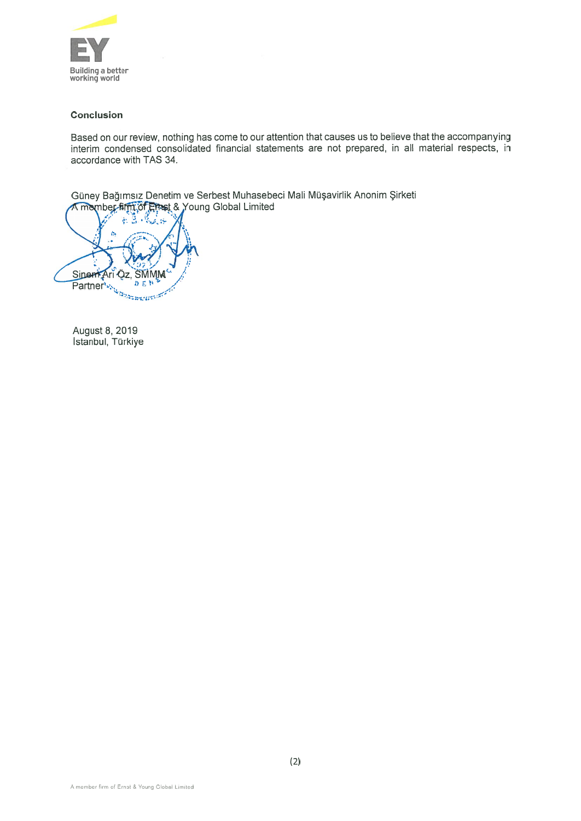

## Conclusion

Based on our review, nothing has come to our attention that causes us to believe that the accompanying interim condensed consolidated financial statements are not prepared, in alI material respects, in accordance with TAS 34.

Güney Bağımsız Denetim ve Serbest Muhasebeci Mali Müşavirlik Anonim Şirketi A member firm of Etnst & Young Global Limited

E ĝ.  $\Delta$ Sinent Ari Qz, **SMMM** Partner *b E N* Partner *b E N B* 

August 8, 2019 İstanbul, Türkiye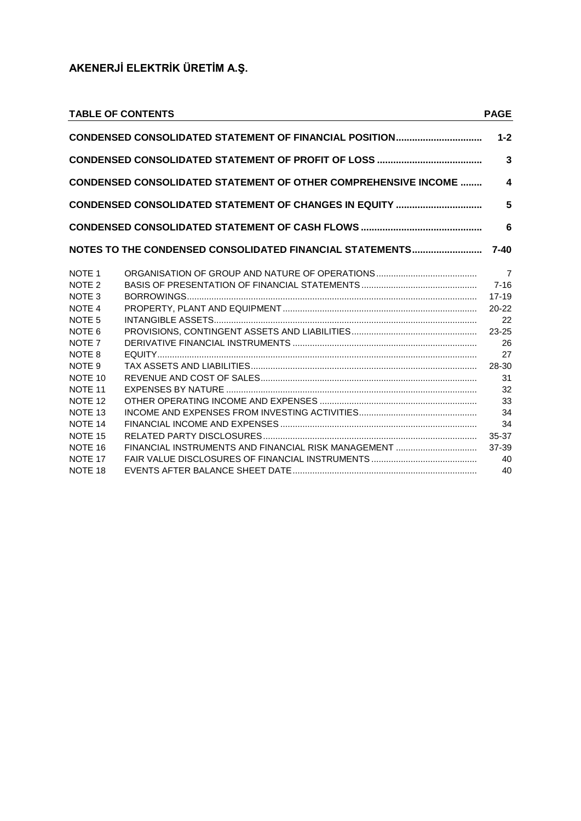|                    | <b>TABLE OF CONTENTS</b>                                               | <b>PAGE</b>             |
|--------------------|------------------------------------------------------------------------|-------------------------|
|                    | CONDENSED CONSOLIDATED STATEMENT OF FINANCIAL POSITION                 | $1 - 2$                 |
|                    |                                                                        | $\overline{3}$          |
|                    | <b>CONDENSED CONSOLIDATED STATEMENT OF OTHER COMPREHENSIVE INCOME </b> | $\overline{\mathbf{4}}$ |
|                    | CONDENSED CONSOLIDATED STATEMENT OF CHANGES IN EQUITY                  | 5                       |
|                    |                                                                        | 6                       |
|                    | NOTES TO THE CONDENSED CONSOLIDATED FINANCIAL STATEMENTS               | $7 - 40$                |
| NOTE <sub>1</sub>  |                                                                        | $\overline{7}$          |
| NOTE <sub>2</sub>  |                                                                        | $7 - 16$                |
| NOTE <sub>3</sub>  |                                                                        | $17 - 19$               |
| NOTE <sub>4</sub>  |                                                                        | $20 - 22$               |
| NOTE <sub>5</sub>  |                                                                        | 22                      |
| NOTE <sub>6</sub>  |                                                                        | 23-25                   |
| NOTE <sub>7</sub>  |                                                                        | 26                      |
| NOTE 8             |                                                                        | 27                      |
| NOTE <sub>9</sub>  |                                                                        | 28-30                   |
| NOTE 10            |                                                                        | 31                      |
| NOTE 11            |                                                                        | 32                      |
| NOTE <sub>12</sub> |                                                                        | 33                      |
| NOTE <sub>13</sub> |                                                                        | 34                      |
| NOTE 14            |                                                                        | 34                      |
| NOTE <sub>15</sub> |                                                                        | 35-37                   |
| NOTE 16            |                                                                        | 37-39                   |
| NOTE 17            |                                                                        | 40                      |
| NOTE 18            |                                                                        | 40                      |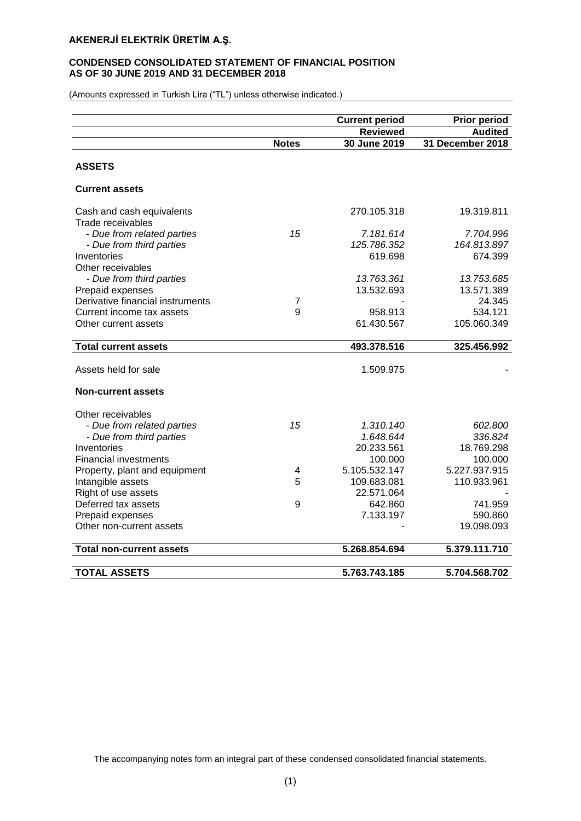## **CONDENSED CONSOLIDATED STATEMENT OF FINANCIAL POSITION AS OF 30 JUNE 2019 AND 31 DECEMBER 2018**

(Amounts expressed in Turkish Lira ("TL") unless otherwise indicated.)

|                                                |                | <b>Current period</b> | <b>Prior period</b> |
|------------------------------------------------|----------------|-----------------------|---------------------|
|                                                |                | <b>Reviewed</b>       | <b>Audited</b>      |
|                                                | <b>Notes</b>   | 30 June 2019          | 31 December 2018    |
|                                                |                |                       |                     |
| <b>ASSETS</b>                                  |                |                       |                     |
| <b>Current assets</b>                          |                |                       |                     |
| Cash and cash equivalents<br>Trade receivables |                | 270.105.318           | 19.319.811          |
| - Due from related parties                     | 15             | 7.181.614             | 7.704.996           |
| - Due from third parties                       |                | 125.786.352           | 164.813.897         |
| Inventories                                    |                | 619.698               | 674.399             |
| Other receivables                              |                |                       |                     |
| - Due from third parties                       |                | 13.763.361            | 13.753.685          |
| Prepaid expenses                               |                | 13.532.693            | 13.571.389          |
| Derivative financial instruments               | $\overline{7}$ |                       | 24.345              |
| Current income tax assets                      | 9              | 958.913               | 534.121             |
| Other current assets                           |                | 61.430.567            | 105.060.349         |
|                                                |                |                       |                     |
| <b>Total current assets</b>                    |                | 493.378.516           | 325.456.992         |
|                                                |                |                       |                     |
| Assets held for sale                           |                | 1.509.975             |                     |
| <b>Non-current assets</b>                      |                |                       |                     |
| Other receivables                              |                |                       |                     |
| - Due from related parties                     | 15             | 1.310.140             | 602.800             |
| - Due from third parties                       |                | 1.648.644             | 336.824             |
| Inventories                                    |                | 20.233.561            | 18.769.298          |
| <b>Financial investments</b>                   |                | 100.000               | 100.000             |
| Property, plant and equipment                  | 4              | 5.105.532.147         | 5.227.937.915       |
| Intangible assets                              | 5              | 109.683.081           | 110.933.961         |
| Right of use assets                            |                | 22.571.064            |                     |
| Deferred tax assets                            | 9              | 642.860               | 741.959             |
| Prepaid expenses                               |                | 7.133.197             | 590.860             |
| Other non-current assets                       |                |                       | 19.098.093          |
| <b>Total non-current assets</b>                |                | 5.268.854.694         | 5.379.111.710       |
|                                                |                |                       |                     |
| <b>TOTAL ASSETS</b>                            |                | 5.763.743.185         | 5.704.568.702       |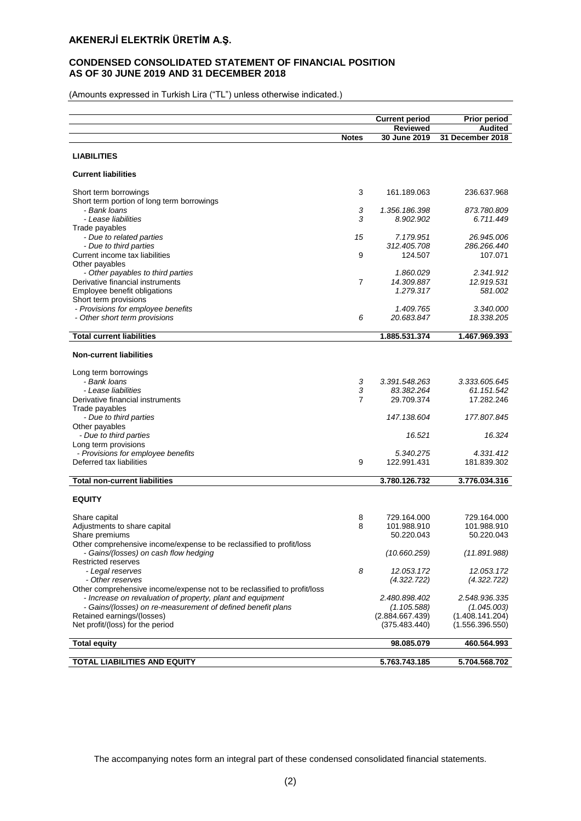## **CONDENSED CONSOLIDATED STATEMENT OF FINANCIAL POSITION AS OF 30 JUNE 2019 AND 31 DECEMBER 2018**

(Amounts expressed in Turkish Lira ("TL") unless otherwise indicated.)

|                                                                          |                | <b>Current period</b> | <b>Prior period</b> |
|--------------------------------------------------------------------------|----------------|-----------------------|---------------------|
|                                                                          |                | <b>Reviewed</b>       | <b>Audited</b>      |
|                                                                          | <b>Notes</b>   | 30 June 2019          | 31 December 2018    |
| <b>LIABILITIES</b>                                                       |                |                       |                     |
|                                                                          |                |                       |                     |
| <b>Current liabilities</b>                                               |                |                       |                     |
| Short term borrowings                                                    | 3              | 161.189.063           | 236.637.968         |
| Short term portion of long term borrowings                               |                |                       |                     |
| - Bank Ioans                                                             | 3              | 1.356.186.398         | 873.780.809         |
| - Lease liabilities                                                      | 3              | 8.902.902             | 6.711.449           |
| Trade payables                                                           |                |                       |                     |
| - Due to related parties                                                 | 15             | 7.179.951             | 26.945.006          |
| - Due to third parties                                                   |                | 312.405.708           | 286.266.440         |
| Current income tax liabilities                                           | 9              | 124.507               | 107.071             |
| Other payables                                                           |                |                       |                     |
| - Other payables to third parties                                        |                | 1.860.029             | 2.341.912           |
| Derivative financial instruments                                         | $\overline{7}$ | 14.309.887            | 12.919.531          |
| Employee benefit obligations                                             |                | 1.279.317             | 581.002             |
| Short term provisions                                                    |                |                       |                     |
| - Provisions for employee benefits                                       |                | 1.409.765             | 3.340.000           |
| - Other short term provisions                                            | 6              | 20.683.847            | 18.338.205          |
|                                                                          |                |                       |                     |
| <b>Total current liabilities</b>                                         |                | 1.885.531.374         | 1.467.969.393       |
| <b>Non-current liabilities</b>                                           |                |                       |                     |
|                                                                          |                |                       |                     |
| Long term borrowings                                                     |                |                       |                     |
| - Bank Ioans                                                             | 3              | 3.391.548.263         | 3.333.605.645       |
| - Lease liabilities                                                      | 3              | 83.382.264            | 61.151.542          |
| Derivative financial instruments                                         | $\overline{7}$ | 29.709.374            | 17.282.246          |
| Trade payables                                                           |                |                       |                     |
| - Due to third parties                                                   |                | 147.138.604           | 177.807.845         |
| Other payables                                                           |                |                       |                     |
| - Due to third parties                                                   |                | 16.521                | 16.324              |
| Long term provisions                                                     |                |                       |                     |
| - Provisions for employee benefits                                       |                | 5.340.275             | 4.331.412           |
| Deferred tax liabilities                                                 | 9              | 122.991.431           | 181.839.302         |
|                                                                          |                |                       |                     |
| <b>Total non-current liabilities</b>                                     |                | 3.780.126.732         | 3.776.034.316       |
|                                                                          |                |                       |                     |
| <b>EQUITY</b>                                                            |                |                       |                     |
| Share capital                                                            | 8              | 729.164.000           | 729.164.000         |
| Adjustments to share capital                                             | 8              | 101.988.910           | 101.988.910         |
| Share premiums                                                           |                | 50.220.043            | 50.220.043          |
| Other comprehensive income/expense to be reclassified to profit/loss     |                |                       |                     |
|                                                                          |                |                       |                     |
| - Gains/(losses) on cash flow hedging<br>Restricted reserves             |                | (10.660.259)          | (11.891.988)        |
|                                                                          | 8              | 12.053.172            | 12.053.172          |
| - Legal reserves<br>- Other reserves                                     |                |                       |                     |
|                                                                          |                | (4.322.722)           | (4.322.722)         |
| Other comprehensive income/expense not to be reclassified to profit/loss |                | 2.480.898.402         | 2.548.936.335       |
| - Increase on revaluation of property, plant and equipment               |                |                       |                     |
| - Gains/(losses) on re-measurement of defined benefit plans              |                | (1.105.588)           | (1.045.003)         |
| Retained earnings/(losses)                                               |                | (2.884.667.439)       | (1.408.141.204)     |
| Net profit/(loss) for the period                                         |                | (375.483.440)         | (1.556.396.550)     |
| <b>Total equity</b>                                                      |                | 98.085.079            | 460.564.993         |
|                                                                          |                |                       |                     |
| TOTAL LIABILITIES AND EQUITY                                             |                | 5.763.743.185         | 5.704.568.702       |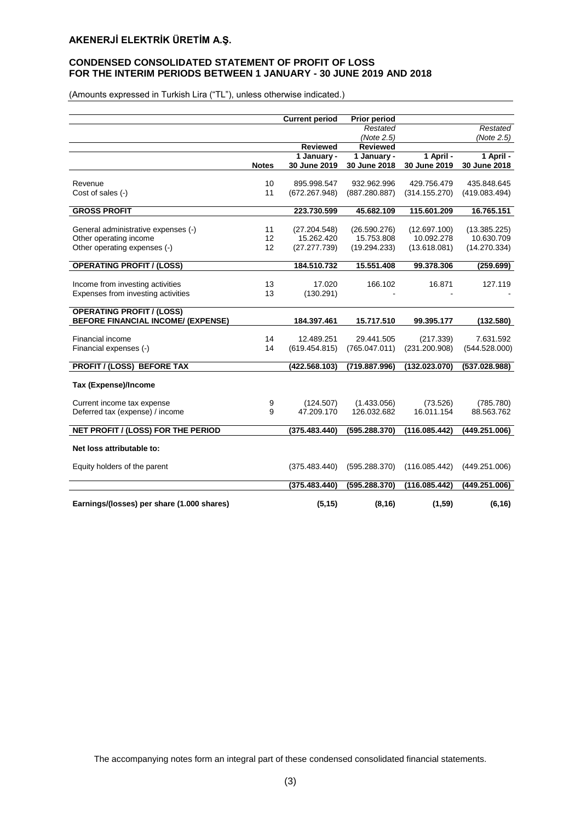## **CONDENSED CONSOLIDATED STATEMENT OF PROFIT OF LOSS FOR THE INTERIM PERIODS BETWEEN 1 JANUARY - 30 JUNE 2019 AND 2018**

(Amounts expressed in Turkish Lira ("TL"), unless otherwise indicated.)

|                                            |              | <b>Current period</b>       | <b>Prior period</b>         |                            |                            |
|--------------------------------------------|--------------|-----------------------------|-----------------------------|----------------------------|----------------------------|
|                                            |              |                             | Restated                    |                            | Restated                   |
|                                            |              |                             | (Note 2.5)                  |                            | (Note 2.5)                 |
|                                            |              | <b>Reviewed</b>             | <b>Reviewed</b>             |                            |                            |
|                                            | <b>Notes</b> | 1 January -<br>30 June 2019 | 1 January -<br>30 June 2018 | 1 April -<br>30 June 2019  | 1 April -<br>30 June 2018  |
|                                            |              |                             |                             |                            |                            |
| Revenue                                    | 10           | 895.998.547                 | 932.962.996                 | 429.756.479                | 435.848.645                |
| Cost of sales (-)                          | 11           | (672.267.948)               | (887.280.887)               | (314.155.270)              | (419.083.494)              |
| <b>GROSS PROFIT</b>                        |              | 223.730.599                 | 45.682.109                  | 115.601.209                | 16.765.151                 |
|                                            |              |                             |                             |                            |                            |
| General administrative expenses (-)        | 11           | (27.204.548)                | (26.590.276)                | (12.697.100)               | (13.385.225)               |
| Other operating income                     | 12<br>12     | 15.262.420<br>(27.277.739)  | 15.753.808<br>(19.294.233)  | 10.092.278<br>(13.618.081) | 10.630.709<br>(14.270.334) |
| Other operating expenses (-)               |              |                             |                             |                            |                            |
| <b>OPERATING PROFIT / (LOSS)</b>           |              | 184.510.732                 | 15.551.408                  | 99.378.306                 | (259.699)                  |
|                                            |              |                             |                             |                            |                            |
| Income from investing activities           | 13           | 17.020                      | 166.102                     | 16.871                     | 127.119                    |
| Expenses from investing activities         | 13           | (130.291)                   |                             |                            |                            |
| <b>OPERATING PROFIT / (LOSS)</b>           |              |                             |                             |                            |                            |
| <b>BEFORE FINANCIAL INCOME/ (EXPENSE)</b>  |              | 184.397.461                 | 15.717.510                  | 99.395.177                 | (132.580)                  |
| Financial income                           | 14           | 12.489.251                  | 29.441.505                  | (217.339)                  | 7.631.592                  |
| Financial expenses (-)                     | 14           | (619.454.815)               | (765.047.011)               | (231.200.908)              | (544.528.000)              |
|                                            |              |                             |                             |                            |                            |
| <b>PROFIT / (LOSS) BEFORE TAX</b>          |              | (422.568.103)               | (719.887.996)               | (132.023.070)              | (537.028.988)              |
| <b>Tax (Expense)/Income</b>                |              |                             |                             |                            |                            |
|                                            |              |                             |                             |                            |                            |
| Current income tax expense                 | 9            | (124.507)                   | (1.433.056)                 | (73.526)                   | (785.780)                  |
| Deferred tax (expense) / income            | 9            | 47.209.170                  | 126.032.682                 | 16.011.154                 | 88.563.762                 |
| NET PROFIT / (LOSS) FOR THE PERIOD         |              | (375.483.440)               | (595.288.370)               | (116.085.442)              | (449.251.006)              |
|                                            |              |                             |                             |                            |                            |
| Net loss attributable to:                  |              |                             |                             |                            |                            |
| Equity holders of the parent               |              | (375.483.440)               | (595.288.370)               | (116.085.442)              | (449.251.006)              |
|                                            |              |                             |                             |                            |                            |
|                                            |              | (375.483.440)               | (595.288.370)               | (116.085.442)              | (449.251.006)              |
| Earnings/(losses) per share (1.000 shares) |              | (5, 15)                     | (8, 16)                     | (1, 59)                    | (6, 16)                    |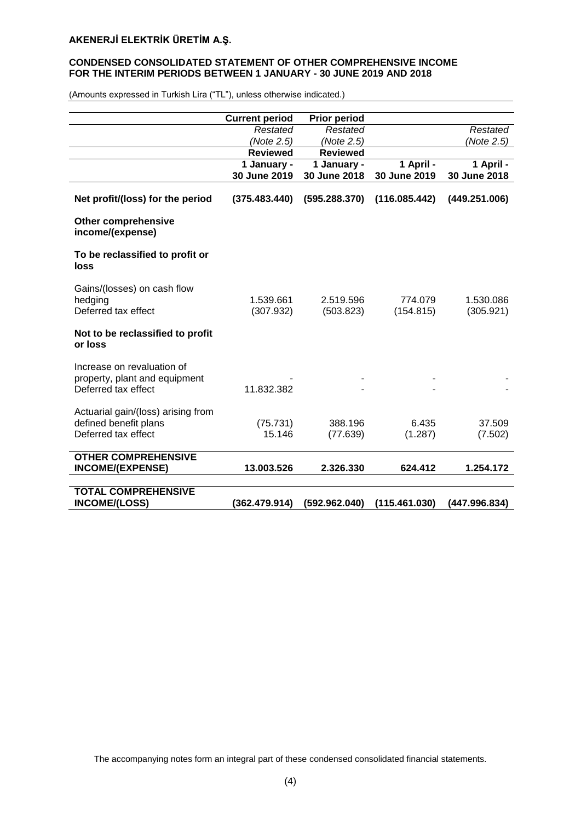## **CONDENSED CONSOLIDATED STATEMENT OF OTHER COMPREHENSIVE INCOME FOR THE INTERIM PERIODS BETWEEN 1 JANUARY - 30 JUNE 2019 AND 2018**

|                                                                                    | <b>Current period</b>  | <b>Prior period</b>    |                      |                        |
|------------------------------------------------------------------------------------|------------------------|------------------------|----------------------|------------------------|
|                                                                                    | Restated               | Restated               |                      | Restated               |
|                                                                                    | (Note 2.5)             | (Note 2.5)             |                      | (Note 2.5)             |
|                                                                                    | <b>Reviewed</b>        | <b>Reviewed</b>        |                      |                        |
|                                                                                    | 1 January -            | 1 January -            | 1 April -            | 1 April -              |
|                                                                                    | 30 June 2019           | 30 June 2018           | 30 June 2019         | 30 June 2018           |
| Net profit/(loss) for the period                                                   | (375.483.440)          | (595.288.370)          | (116.085.442)        | (449.251.006)          |
| <b>Other comprehensive</b><br>income/(expense)                                     |                        |                        |                      |                        |
| To be reclassified to profit or<br>loss                                            |                        |                        |                      |                        |
| Gains/(losses) on cash flow<br>hedging<br>Deferred tax effect                      | 1.539.661<br>(307.932) | 2.519.596<br>(503.823) | 774.079<br>(154.815) | 1.530.086<br>(305.921) |
| Not to be reclassified to profit<br>or loss                                        |                        |                        |                      |                        |
| Increase on revaluation of<br>property, plant and equipment<br>Deferred tax effect | 11.832.382             |                        |                      |                        |
| Actuarial gain/(loss) arising from<br>defined benefit plans<br>Deferred tax effect | (75.731)<br>15.146     | 388.196<br>(77.639)    | 6.435<br>(1.287)     | 37.509<br>(7.502)      |
| <b>OTHER COMPREHENSIVE</b><br><b>INCOME/(EXPENSE)</b>                              | 13.003.526             | 2.326.330              | 624.412              | 1.254.172              |
| <b>TOTAL COMPREHENSIVE</b><br><b>INCOME/(LOSS)</b>                                 | (362.479.914)          | (592.962.040)          | (115.461.030)        | (447.996.834)          |

(Amounts expressed in Turkish Lira ("TL"), unless otherwise indicated.)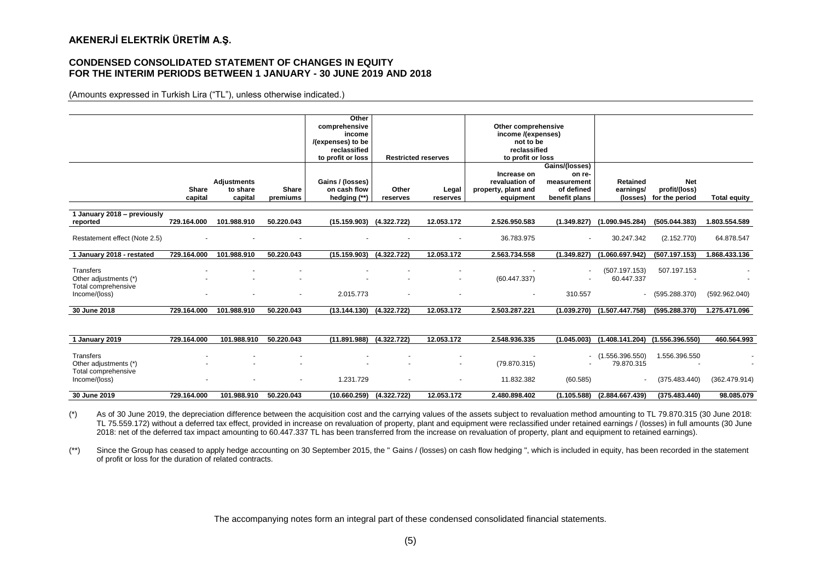#### **CONDENSED CONSOLIDATED STATEMENT OF CHANGES IN EQUITY FOR THE INTERIM PERIODS BETWEEN 1 JANUARY - 30 JUNE 2019 AND 2018**

(Amounts expressed in Turkish Lira ("TL"), unless otherwise indicated.)

|                               |                          |                          |                | Other                        |             |                            |                     |                |                                 |                   |                     |
|-------------------------------|--------------------------|--------------------------|----------------|------------------------------|-------------|----------------------------|---------------------|----------------|---------------------------------|-------------------|---------------------|
|                               |                          |                          |                | comprehensive                |             |                            | Other comprehensive |                |                                 |                   |                     |
|                               |                          |                          |                | income                       |             |                            | income /(expenses)  |                |                                 |                   |                     |
|                               |                          |                          |                | /(expenses) to be            |             |                            | not to be           |                |                                 |                   |                     |
|                               |                          |                          |                | reclassified                 |             |                            | reclassified        |                |                                 |                   |                     |
|                               |                          |                          |                | to profit or loss            |             | <b>Restricted reserves</b> | to profit or loss   |                |                                 |                   |                     |
|                               |                          |                          |                |                              |             |                            |                     | Gains/(losses) |                                 |                   |                     |
|                               |                          |                          |                |                              |             |                            | Increase on         | on re-         |                                 |                   |                     |
|                               |                          | <b>Adjustments</b>       |                | Gains / (losses)             |             |                            | revaluation of      | measurement    | Retained                        | <b>Net</b>        |                     |
|                               | Share                    | to share                 | <b>Share</b>   | on cash flow                 | Other       | Legal                      | property, plant and | of defined     | earnings/                       | profit/(loss)     |                     |
|                               | capital                  | capital                  | premiums       | hedging (**)                 | reserves    | reserves                   | equipment           | benefit plans  | (losses)                        | for the period    | <b>Total equity</b> |
|                               |                          |                          |                |                              |             |                            |                     |                |                                 |                   |                     |
| 1 January 2018 - previously   |                          |                          |                |                              |             |                            |                     |                |                                 |                   |                     |
| reported                      | 729.164.000              | 101.988.910              | 50.220.043     | $(15.159.903)$ $(4.322.722)$ |             | 12.053.172                 | 2.526.950.583       | (1.349.827)    | (1.090.945.284)                 | (505.044.383)     | 1.803.554.589       |
|                               |                          |                          |                |                              |             |                            |                     |                |                                 |                   |                     |
| Restatement effect (Note 2.5) |                          |                          |                |                              |             | $\overline{\phantom{a}}$   | 36.783.975          | $\sim$         | 30.247.342                      | (2.152.770)       | 64.878.547          |
|                               |                          |                          |                |                              |             |                            |                     |                |                                 |                   |                     |
| 1 January 2018 - restated     | 729.164.000              | 101.988.910              | 50.220.043     | (15.159.903)                 | (4.322.722) | 12.053.172                 | 2.563.734.558       | (1.349.827)    | (1.060.697.942)                 | (507.197.153)     | 1.868.433.136       |
|                               |                          |                          |                |                              |             |                            |                     |                |                                 |                   |                     |
| Transfers                     | $\overline{\phantom{a}}$ | $\overline{\phantom{a}}$ | $\overline{a}$ | $\overline{a}$               |             | $\overline{\phantom{a}}$   |                     |                | (507.197.153)                   | 507.197.153       |                     |
| Other adjustments (*)         |                          |                          |                |                              |             | $\overline{\phantom{a}}$   | (60.447.337)        |                | 60.447.337                      |                   |                     |
| Total comprehensive           |                          |                          |                |                              |             |                            |                     |                |                                 |                   |                     |
| Income/(loss)                 | $\sim$                   | $\overline{\phantom{a}}$ | $\sim$         | 2.015.773                    | $\sim$      | $\overline{\phantom{a}}$   | ٠                   | 310.557        |                                 | $-$ (595.288.370) | (592.962.040)       |
|                               |                          |                          |                |                              |             |                            |                     |                |                                 |                   |                     |
| 30 June 2018                  | 729.164.000              | 101.988.910              | 50.220.043     | $(13.144.130)$ $(4.322.722)$ |             | 12.053.172                 | 2.503.287.221       |                | $(1.039.270)$ $(1.507.447.758)$ | (595.288.370)     | 1.275.471.096       |

| January 2019                                                               | 729.164.000 | 101.988.910                                                                      | 50.220.043 | (11.891.988)                                                     | (4.322.722) | 12.053.172                                           | 2.548.936.335              | (1.045.003) | (1.408.141.204)               | (1.556.396.550)                | 460.564.993   |
|----------------------------------------------------------------------------|-------------|----------------------------------------------------------------------------------|------------|------------------------------------------------------------------|-------------|------------------------------------------------------|----------------------------|-------------|-------------------------------|--------------------------------|---------------|
| Transfers<br>Other adjustments (*)<br>Total comprehensive<br>Income/(loss) |             | $\overline{\phantom{a}}$<br>$\overline{\phantom{a}}$<br>$\overline{\phantom{a}}$ |            | $\overline{\phantom{a}}$<br>$\overline{\phantom{a}}$<br>.231.729 |             | $\overline{\phantom{a}}$<br>$\overline{\phantom{a}}$ | (79.870.315)<br>11.832.382 | (60.585)    | (1.556.396.550)<br>79.870.315 | 1.556.396.550<br>(375.483.440) | (362.479.914) |
| 30 June 2019                                                               | 729.164.000 | 101.988.910                                                                      | 50.220.043 | (10.660.259)                                                     | (4.322.722) | 12.053.172                                           | 2.480.898.402              | (1.105.588) | (2.884.667.439)               | (375.483.440)                  | 98.085.079    |

(\*) As of 30 June 2019, the depreciation difference between the acquisition cost and the carrying values of the assets subject to revaluation method amounting to TL 79.870.315 (30 June 2018: TL 75.559.172) without a deferred tax effect, provided in increase on revaluation of property, plant and equipment were reclassified under retained earnings / (losses) in full amounts (30 June 2018: net of the deferred tax impact amounting to 60.447.337 TL has been transferred from the increase on revaluation of property, plant and equipment to retained earnings).

(\*\*) Since the Group has ceased to apply hedge accounting on 30 September 2015, the " Gains / (losses) on cash flow hedging ", which is included in equity, has been recorded in the statement of profit or loss for the duration of related contracts.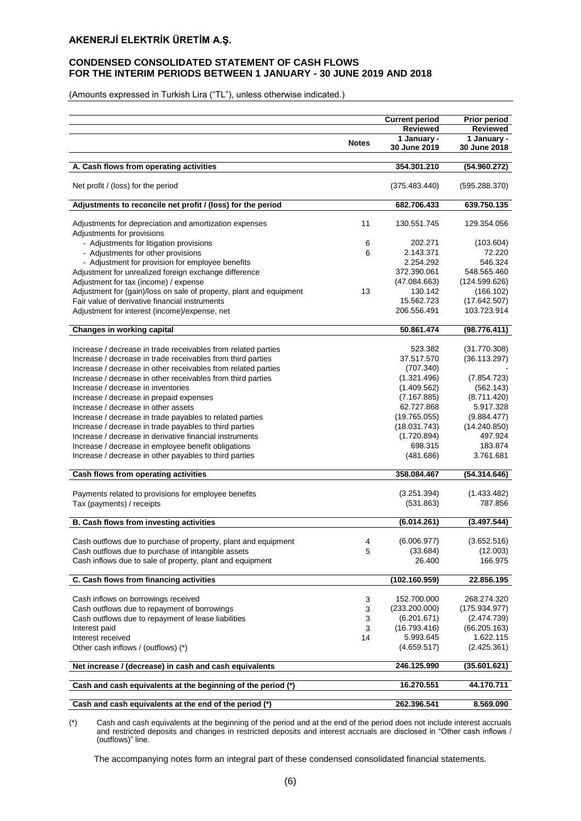## **CONDENSED CONSOLIDATED STATEMENT OF CASH FLOWS FOR THE INTERIM PERIODS BETWEEN 1 JANUARY - 30 JUNE 2019 AND 2018**

(Amounts expressed in Turkish Lira ("TL"), unless otherwise indicated.)

|                                                                                                                              |              | <b>Current period</b>          | <b>Prior period</b>      |
|------------------------------------------------------------------------------------------------------------------------------|--------------|--------------------------------|--------------------------|
|                                                                                                                              |              | <b>Reviewed</b><br>1 January - | Reviewed<br>1 January -  |
|                                                                                                                              | <b>Notes</b> | 30 June 2019                   | 30 June 2018             |
|                                                                                                                              |              |                                |                          |
| A. Cash flows from operating activities                                                                                      |              | 354.301.210                    | (54.960.272)             |
| Net profit / (loss) for the period                                                                                           |              | (375.483.440)                  | (595.288.370)            |
| Adjustments to reconcile net profit / (loss) for the period                                                                  |              | 682.706.433                    | 639.750.135              |
| Adjustments for depreciation and amortization expenses<br>Adjustments for provisions                                         | 11           | 130.551.745                    | 129.354.056              |
| - Adjustments for litigation provisions                                                                                      | 6            | 202.271                        | (103.604)                |
| - Adjustments for other provisions                                                                                           | 6            | 2.143.371                      | 72.220                   |
| - Adjustment for provision for employee benefits                                                                             |              | 2.254.292                      | 546.324                  |
| Adjustment for unrealized foreign exchange difference                                                                        |              | 372.390.061                    | 548.565.460              |
| Adjustment for tax (income) / expense                                                                                        |              | (47.084.663)                   | (124.599.626)            |
| Adjustment for (gain)/loss on sale of property, plant and equipment                                                          | 13           | 130.142                        | (166.102)                |
| Fair value of derivative financial instruments                                                                               |              | 15.562.723                     | (17.642.507)             |
| Adjustment for interest (income)/expense, net                                                                                |              | 206.556.491                    | 103.723.914              |
| Changes in working capital                                                                                                   |              | 50.861.474                     | (98.776.411)             |
|                                                                                                                              |              |                                |                          |
| Increase / decrease in trade receivables from related parties                                                                |              | 523.382                        | (31.770.308)             |
| Increase / decrease in trade receivables from third parties<br>Increase / decrease in other receivables from related parties |              | 37.517.570                     | (36.113.297)             |
| Increase / decrease in other receivables from third parties                                                                  |              | (707.340)<br>(1.321.496)       |                          |
| Increase / decrease in inventories                                                                                           |              | (1.409.562)                    | (7.854.723)<br>(562.143) |
|                                                                                                                              |              | (7.167.885)                    | (8.711.420)              |
| Increase / decrease in prepaid expenses<br>Increase / decrease in other assets                                               |              | 62.727.868                     | 5.917.328                |
| Increase / decrease in trade payables to related parties                                                                     |              | (19.765.055)                   | (9.884.477)              |
| Increase / decrease in trade payables to third parties                                                                       |              | (18.031.743)                   | (14.240.850)             |
| Increase / decrease in derivative financial instruments                                                                      |              | (1.720.894)                    | 497.924                  |
| Increase / decrease in employee benefit obligations                                                                          |              | 698.315                        | 183.874                  |
| Increase / decrease in other payables to third parties                                                                       |              | (481.686)                      | 3.761.681                |
|                                                                                                                              |              |                                |                          |
| Cash flows from operating activities                                                                                         |              | 358.084.467                    | (54.314.646)             |
| Payments related to provisions for employee benefits                                                                         |              | (3.251.394)                    | (1.433.482)              |
| Tax (payments) / receipts                                                                                                    |              | (531.863)                      | 787.856                  |
|                                                                                                                              |              | (6.014.261)                    |                          |
| B. Cash flows from investing activities                                                                                      |              |                                | (3.497.544)              |
| Cash outflows due to purchase of property, plant and equipment                                                               | 4            | (6.006.977)                    | (3.652.516)              |
| Cash outflows due to purchase of intangible assets                                                                           | 5            | (33.684)                       | (12.003)                 |
| Cash inflows due to sale of property, plant and equipment                                                                    |              | 26.400                         | 166.975                  |
| C. Cash flows from financing activities                                                                                      |              | (102.160.959)                  | 22.856.195               |
|                                                                                                                              |              |                                |                          |
| Cash inflows on borrowings received                                                                                          | 3            | 152.700.000                    | 268.274.320              |
| Cash outflows due to repayment of borrowings                                                                                 | 3            | (233.200.000)                  | (175.934.977)            |
| Cash outflows due to repayment of lease liabilities                                                                          | 3            | (6.201.671)                    | (2.474.739)              |
| Interest paid                                                                                                                | 3            | (16.793.416)                   | (66.205.163)             |
| Interest received                                                                                                            | 14           | 5.993.645                      | 1.622.115                |
| Other cash inflows / (outflows) (*)                                                                                          |              | (4.659.517)                    | (2.425.361)              |
| Net increase / (decrease) in cash and cash equivalents                                                                       |              | 246.125.990                    | (35.601.621)             |
| Cash and cash equivalents at the beginning of the period (*)                                                                 |              | 16.270.551                     | 44.170.711               |
|                                                                                                                              |              |                                |                          |
| Cash and cash equivalents at the end of the period (*)                                                                       |              | 262.396.541                    | 8.569.090                |

(\*) Cash and cash equivalents at the beginning of the period and at the end of the period does not include interest accruals and restricted deposits and changes in restricted deposits and interest accruals are disclosed in "Other cash inflows / (outflows)" line.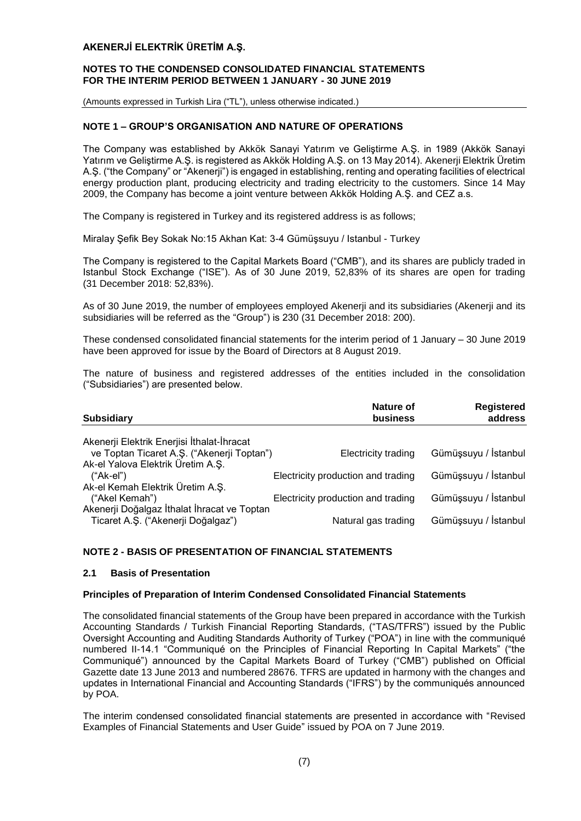#### **NOTES TO THE CONDENSED CONSOLIDATED FINANCIAL STATEMENTS FOR THE INTERIM PERIOD BETWEEN 1 JANUARY - 30 JUNE 2019**

(Amounts expressed in Turkish Lira ("TL"), unless otherwise indicated.)

## **NOTE 1 – GROUP'S ORGANISATION AND NATURE OF OPERATIONS**

The Company was established by Akkök Sanayi Yatırım ve Geliştirme A.Ş. in 1989 (Akkök Sanayi Yatırım ve Geliştirme A.Ş. is registered as Akkök Holding A.Ş. on 13 May 2014). Akenerji Elektrik Üretim A.Ş. ("the Company" or "Akenerji") is engaged in establishing, renting and operating facilities of electrical energy production plant, producing electricity and trading electricity to the customers. Since 14 May 2009, the Company has become a joint venture between Akkök Holding A.Ş. and CEZ a.s.

The Company is registered in Turkey and its registered address is as follows;

Miralay Şefik Bey Sokak No:15 Akhan Kat: 3-4 Gümüşsuyu / Istanbul - Turkey

The Company is registered to the Capital Markets Board ("CMB"), and its shares are publicly traded in Istanbul Stock Exchange ("ISE"). As of 30 June 2019, 52,83% of its shares are open for trading (31 December 2018: 52,83%).

As of 30 June 2019, the number of employees employed Akenerji and its subsidiaries (Akenerji and its subsidiaries will be referred as the "Group") is 230 (31 December 2018: 200).

These condensed consolidated financial statements for the interim period of 1 January – 30 June 2019 have been approved for issue by the Board of Directors at 8 August 2019.

The nature of business and registered addresses of the entities included in the consolidation ("Subsidiaries") are presented below.

| <b>Subsidiary</b>                                                                 | Nature of<br>business              | <b>Registered</b><br>address |
|-----------------------------------------------------------------------------------|------------------------------------|------------------------------|
| Akenerji Elektrik Enerjisi İthalat-İhracat                                        |                                    |                              |
| ve Toptan Ticaret A.Ş. ("Akenerji Toptan")                                        | <b>Electricity trading</b>         | Gümüşsuyu / İstanbul         |
| Ak-el Yalova Elektrik Üretim A.Ş.                                                 |                                    |                              |
| $("Ak-eI")$                                                                       | Electricity production and trading | Gümüşsuyu / İstanbul         |
| Ak-el Kemah Elektrik Üretim A.Ş.                                                  |                                    |                              |
| ("Akel Kemah")                                                                    | Electricity production and trading | Gümüşsuyu / İstanbul         |
| Akenerji Doğalgaz İthalat İhracat ve Toptan<br>Ticaret A.S. ("Akenerji Doğalgaz") | Natural gas trading                | Gümüşsuyu / İstanbul         |

## **NOTE 2 - BASIS OF PRESENTATION OF FINANCIAL STATEMENTS**

#### **2.1 Basis of Presentation**

#### **Principles of Preparation of Interim Condensed Consolidated Financial Statements**

The consolidated financial statements of the Group have been prepared in accordance with the Turkish Accounting Standards / Turkish Financial Reporting Standards, ("TAS/TFRS") issued by the Public Oversight Accounting and Auditing Standards Authority of Turkey ("POA") in line with the communiqué numbered II-14.1 "Communiqué on the Principles of Financial Reporting In Capital Markets" ("the Communiqué") announced by the Capital Markets Board of Turkey ("CMB") published on Official Gazette date 13 June 2013 and numbered 28676. TFRS are updated in harmony with the changes and updates in International Financial and Accounting Standards ("IFRS") by the communiqués announced by POA.

The interim condensed consolidated financial statements are presented in accordance with "Revised Examples of Financial Statements and User Guide" issued by POA on 7 June 2019.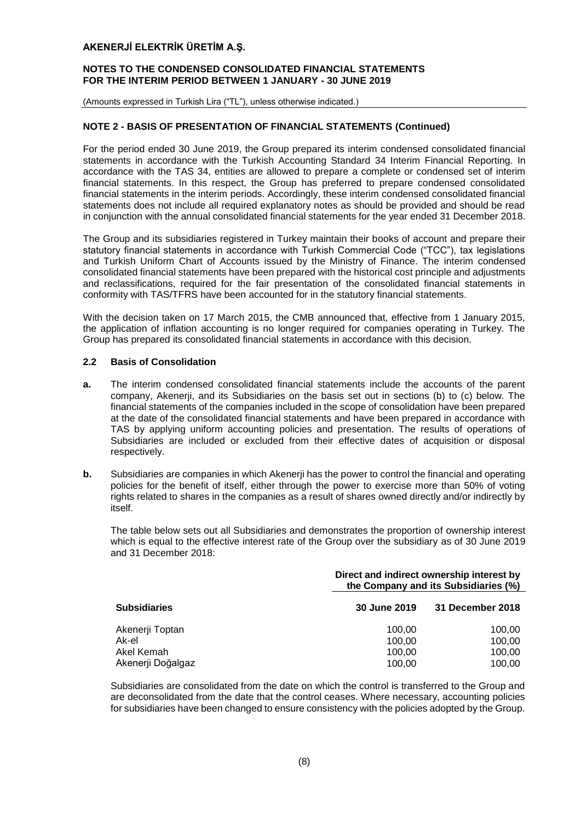#### **NOTES TO THE CONDENSED CONSOLIDATED FINANCIAL STATEMENTS FOR THE INTERIM PERIOD BETWEEN 1 JANUARY - 30 JUNE 2019**

(Amounts expressed in Turkish Lira ("TL"), unless otherwise indicated.)

## **NOTE 2 - BASIS OF PRESENTATION OF FINANCIAL STATEMENTS (Continued)**

For the period ended 30 June 2019, the Group prepared its interim condensed consolidated financial statements in accordance with the Turkish Accounting Standard 34 Interim Financial Reporting. In accordance with the TAS 34, entities are allowed to prepare a complete or condensed set of interim financial statements. In this respect, the Group has preferred to prepare condensed consolidated financial statements in the interim periods. Accordingly, these interim condensed consolidated financial statements does not include all required explanatory notes as should be provided and should be read in conjunction with the annual consolidated financial statements for the year ended 31 December 2018.

The Group and its subsidiaries registered in Turkey maintain their books of account and prepare their statutory financial statements in accordance with Turkish Commercial Code ("TCC"), tax legislations and Turkish Uniform Chart of Accounts issued by the Ministry of Finance. The interim condensed consolidated financial statements have been prepared with the historical cost principle and adjustments and reclassifications, required for the fair presentation of the consolidated financial statements in conformity with TAS/TFRS have been accounted for in the statutory financial statements.

With the decision taken on 17 March 2015, the CMB announced that, effective from 1 January 2015, the application of inflation accounting is no longer required for companies operating in Turkey. The Group has prepared its consolidated financial statements in accordance with this decision.

### **2.2 Basis of Consolidation**

- **a.** The interim condensed consolidated financial statements include the accounts of the parent company, Akenerji, and its Subsidiaries on the basis set out in sections (b) to (c) below. The financial statements of the companies included in the scope of consolidation have been prepared at the date of the consolidated financial statements and have been prepared in accordance with TAS by applying uniform accounting policies and presentation. The results of operations of Subsidiaries are included or excluded from their effective dates of acquisition or disposal respectively.
- **b.** Subsidiaries are companies in which Akenerji has the power to control the financial and operating policies for the benefit of itself, either through the power to exercise more than 50% of voting rights related to shares in the companies as a result of shares owned directly and/or indirectly by itself.

The table below sets out all Subsidiaries and demonstrates the proportion of ownership interest which is equal to the effective interest rate of the Group over the subsidiary as of 30 June 2019 and 31 December 2018:

|                     | Direct and indirect ownership interest by<br>the Company and its Subsidiaries (%) |                  |  |  |
|---------------------|-----------------------------------------------------------------------------------|------------------|--|--|
| <b>Subsidiaries</b> | 30 June 2019                                                                      | 31 December 2018 |  |  |
| Akenerji Toptan     | 100.00                                                                            | 100.00           |  |  |
| Ak-el               | 100.00                                                                            | 100,00           |  |  |
| Akel Kemah          | 100.00                                                                            | 100,00           |  |  |
| Akenerji Doğalgaz   | 100,00                                                                            | 100,00           |  |  |

Subsidiaries are consolidated from the date on which the control is transferred to the Group and are deconsolidated from the date that the control ceases. Where necessary, accounting policies for subsidiaries have been changed to ensure consistency with the policies adopted by the Group.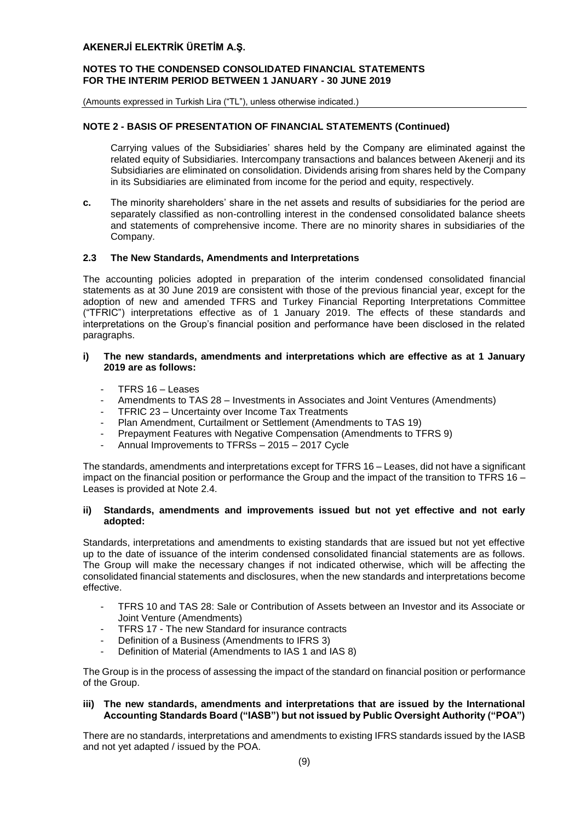#### **NOTES TO THE CONDENSED CONSOLIDATED FINANCIAL STATEMENTS FOR THE INTERIM PERIOD BETWEEN 1 JANUARY - 30 JUNE 2019**

(Amounts expressed in Turkish Lira ("TL"), unless otherwise indicated.)

## **NOTE 2 - BASIS OF PRESENTATION OF FINANCIAL STATEMENTS (Continued)**

Carrying values of the Subsidiaries' shares held by the Company are eliminated against the related equity of Subsidiaries. Intercompany transactions and balances between Akenerji and its Subsidiaries are eliminated on consolidation. Dividends arising from shares held by the Company in its Subsidiaries are eliminated from income for the period and equity, respectively.

**c.** The minority shareholders' share in the net assets and results of subsidiaries for the period are separately classified as non-controlling interest in the condensed consolidated balance sheets and statements of comprehensive income. There are no minority shares in subsidiaries of the Company.

#### **2.3 The New Standards, Amendments and Interpretations**

The accounting policies adopted in preparation of the interim condensed consolidated financial statements as at 30 June 2019 are consistent with those of the previous financial year, except for the adoption of new and amended TFRS and Turkey Financial Reporting Interpretations Committee ("TFRIC") interpretations effective as of 1 January 2019. The effects of these standards and interpretations on the Group's financial position and performance have been disclosed in the related paragraphs.

#### **i) The new standards, amendments and interpretations which are effective as at 1 January 2019 are as follows:**

- TFRS 16 Leases
- Amendments to TAS 28 Investments in Associates and Joint Ventures (Amendments)
- TFRIC 23 Uncertainty over Income Tax Treatments
- [Plan Amendment, Curtailment or Settlement](https://www.iasplus.com/en/news/2018/02/ias-19) (Amendments to TAS 19)
- Prepayment Features with Negative Compensation (Amendments to TFRS 9)
- Annual Improvements to TFRSs 2015 2017 Cycle

The standards, amendments and interpretations except for TFRS 16 – Leases, did not have a significant impact on the financial position or performance the Group and the impact of the transition to TFRS 16 – Leases is provided at Note 2.4.

## **ii) Standards, amendments and improvements issued but not yet effective and not early adopted:**

Standards, interpretations and amendments to existing standards that are issued but not yet effective up to the date of issuance of the interim condensed consolidated financial statements are as follows. The Group will make the necessary changes if not indicated otherwise, which will be affecting the consolidated financial statements and disclosures, when the new standards and interpretations become effective.

- TFRS 10 and TAS 28: Sale or Contribution of Assets between an Investor and its Associate or Joint Venture (Amendments)
- TFRS 17 The new Standard for insurance contracts
- Definition of a Business (Amendments to IFRS 3)
- Definition of Material (Amendments to IAS 1 and IAS 8)

The Group is in the process of assessing the impact of the standard on financial position or performance of the Group.

## **iii) The new standards, amendments and interpretations that are issued by the International Accounting Standards Board ("IASB") but not issued by Public Oversight Authority ("POA")**

There are no standards, interpretations and amendments to existing IFRS standards issued by the IASB and not yet adapted / issued by the POA.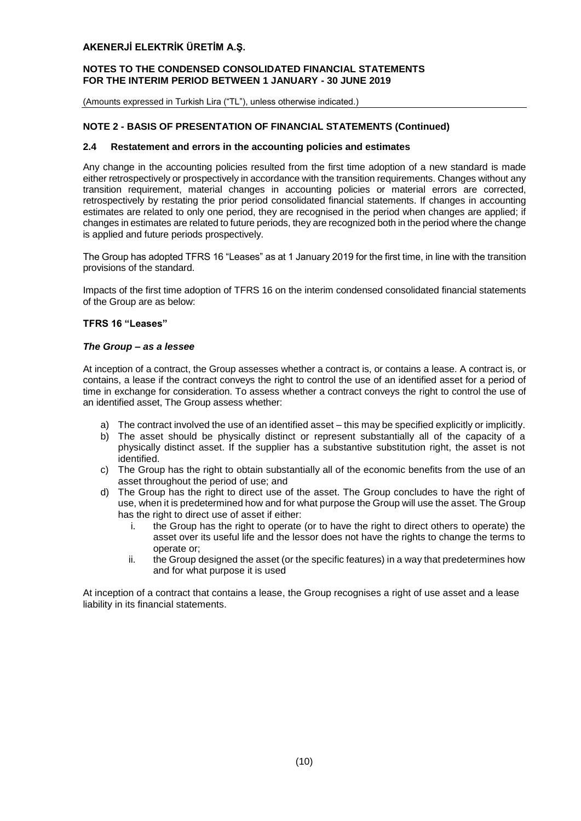#### **NOTES TO THE CONDENSED CONSOLIDATED FINANCIAL STATEMENTS FOR THE INTERIM PERIOD BETWEEN 1 JANUARY - 30 JUNE 2019**

(Amounts expressed in Turkish Lira ("TL"), unless otherwise indicated.)

## **NOTE 2 - BASIS OF PRESENTATION OF FINANCIAL STATEMENTS (Continued)**

#### **2.4 Restatement and errors in the accounting policies and estimates**

Any change in the accounting policies resulted from the first time adoption of a new standard is made either retrospectively or prospectively in accordance with the transition requirements. Changes without any transition requirement, material changes in accounting policies or material errors are corrected, retrospectively by restating the prior period consolidated financial statements. If changes in accounting estimates are related to only one period, they are recognised in the period when changes are applied; if changes in estimates are related to future periods, they are recognized both in the period where the change is applied and future periods prospectively.

The Group has adopted TFRS 16 "Leases" as at 1 January 2019 for the first time, in line with the transition provisions of the standard.

Impacts of the first time adoption of TFRS 16 on the interim condensed consolidated financial statements of the Group are as below:

#### **TFRS 16 "Leases"**

#### *The Group – as a lessee*

At inception of a contract, the Group assesses whether a contract is, or contains a lease. A contract is, or contains, a lease if the contract conveys the right to control the use of an identified asset for a period of time in exchange for consideration. To assess whether a contract conveys the right to control the use of an identified asset, The Group assess whether:

- a) The contract involved the use of an identified asset this may be specified explicitly or implicitly.
- b) The asset should be physically distinct or represent substantially all of the capacity of a physically distinct asset. If the supplier has a substantive substitution right, the asset is not identified.
- c) The Group has the right to obtain substantially all of the economic benefits from the use of an asset throughout the period of use; and
- d) The Group has the right to direct use of the asset. The Group concludes to have the right of use, when it is predetermined how and for what purpose the Group will use the asset. The Group has the right to direct use of asset if either:
	- i. the Group has the right to operate (or to have the right to direct others to operate) the asset over its useful life and the lessor does not have the rights to change the terms to operate or;
	- ii. the Group designed the asset (or the specific features) in a way that predetermines how and for what purpose it is used

At inception of a contract that contains a lease, the Group recognises a right of use asset and a lease liability in its financial statements.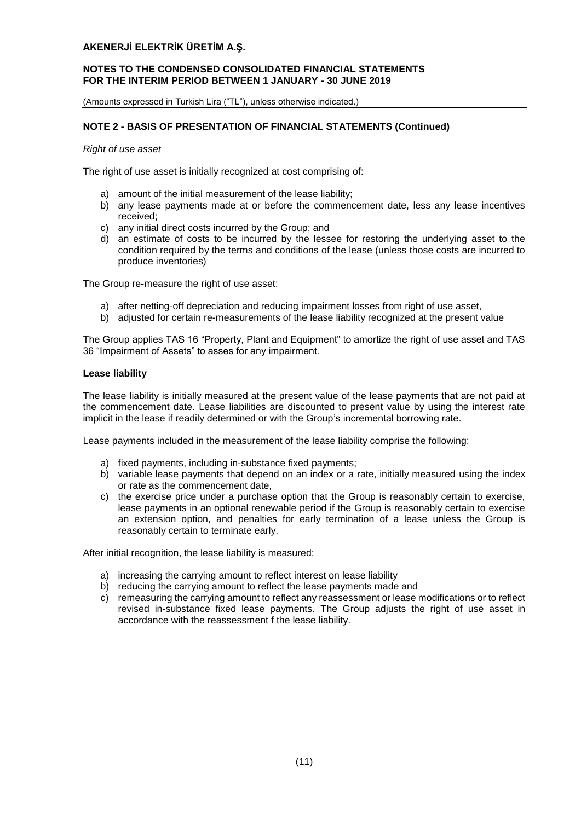#### **NOTES TO THE CONDENSED CONSOLIDATED FINANCIAL STATEMENTS FOR THE INTERIM PERIOD BETWEEN 1 JANUARY - 30 JUNE 2019**

(Amounts expressed in Turkish Lira ("TL"), unless otherwise indicated.)

## **NOTE 2 - BASIS OF PRESENTATION OF FINANCIAL STATEMENTS (Continued)**

*Right of use asset*

The right of use asset is initially recognized at cost comprising of:

- a) amount of the initial measurement of the lease liability;
- b) any lease payments made at or before the commencement date, less any lease incentives received;
- c) any initial direct costs incurred by the Group; and
- d) an estimate of costs to be incurred by the lessee for restoring the underlying asset to the condition required by the terms and conditions of the lease (unless those costs are incurred to produce inventories)

The Group re-measure the right of use asset:

- a) after netting-off depreciation and reducing impairment losses from right of use asset,
- b) adjusted for certain re-measurements of the lease liability recognized at the present value

The Group applies TAS 16 "Property, Plant and Equipment" to amortize the right of use asset and TAS 36 "Impairment of Assets" to asses for any impairment.

#### **Lease liability**

The lease liability is initially measured at the present value of the lease payments that are not paid at the commencement date. Lease liabilities are discounted to present value by using the interest rate implicit in the lease if readily determined or with the Group's incremental borrowing rate.

Lease payments included in the measurement of the lease liability comprise the following:

- a) fixed payments, including in-substance fixed payments;
- b) variable lease payments that depend on an index or a rate, initially measured using the index or rate as the commencement date,
- c) the exercise price under a purchase option that the Group is reasonably certain to exercise, lease payments in an optional renewable period if the Group is reasonably certain to exercise an extension option, and penalties for early termination of a lease unless the Group is reasonably certain to terminate early.

After initial recognition, the lease liability is measured:

- a) increasing the carrying amount to reflect interest on lease liability
- b) reducing the carrying amount to reflect the lease payments made and
- c) remeasuring the carrying amount to reflect any reassessment or lease modifications or to reflect revised in-substance fixed lease payments. The Group adjusts the right of use asset in accordance with the reassessment f the lease liability.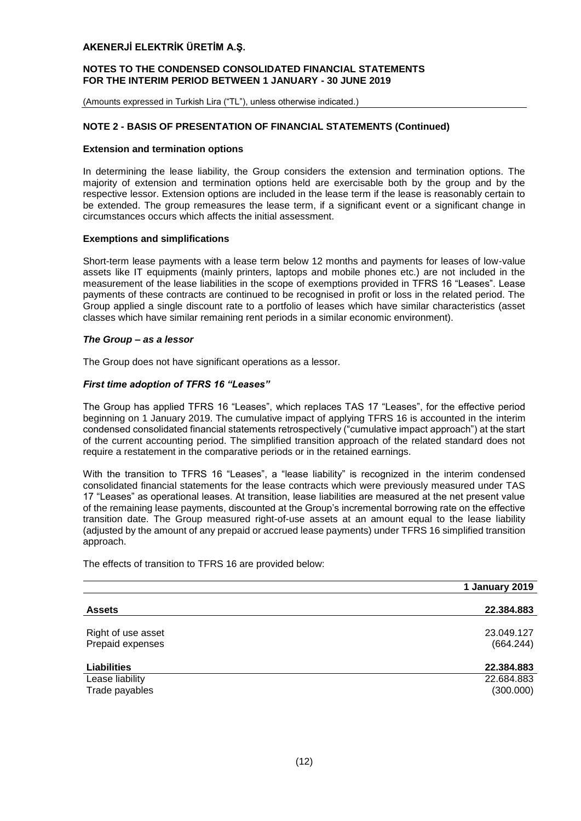#### **NOTES TO THE CONDENSED CONSOLIDATED FINANCIAL STATEMENTS FOR THE INTERIM PERIOD BETWEEN 1 JANUARY - 30 JUNE 2019**

(Amounts expressed in Turkish Lira ("TL"), unless otherwise indicated.)

## **NOTE 2 - BASIS OF PRESENTATION OF FINANCIAL STATEMENTS (Continued)**

#### **Extension and termination options**

In determining the lease liability, the Group considers the extension and termination options. The majority of extension and termination options held are exercisable both by the group and by the respective lessor. Extension options are included in the lease term if the lease is reasonably certain to be extended. The group remeasures the lease term, if a significant event or a significant change in circumstances occurs which affects the initial assessment.

#### **Exemptions and simplifications**

Short-term lease payments with a lease term below 12 months and payments for leases of low-value assets like IT equipments (mainly printers, laptops and mobile phones etc.) are not included in the measurement of the lease liabilities in the scope of exemptions provided in TFRS 16 "Leases". Lease payments of these contracts are continued to be recognised in profit or loss in the related period. The Group applied a single discount rate to a portfolio of leases which have similar characteristics (asset classes which have similar remaining rent periods in a similar economic environment).

#### *The Group – as a lessor*

The Group does not have significant operations as a lessor.

#### *First time adoption of TFRS 16 "Leases"*

The Group has applied TFRS 16 "Leases", which replaces TAS 17 "Leases", for the effective period beginning on 1 January 2019. The cumulative impact of applying TFRS 16 is accounted in the interim condensed consolidated financial statements retrospectively ("cumulative impact approach") at the start of the current accounting period. The simplified transition approach of the related standard does not require a restatement in the comparative periods or in the retained earnings.

With the transition to TFRS 16 "Leases", a "lease liability" is recognized in the interim condensed consolidated financial statements for the lease contracts which were previously measured under TAS 17 "Leases" as operational leases. At transition, lease liabilities are measured at the net present value of the remaining lease payments, discounted at the Group's incremental borrowing rate on the effective transition date. The Group measured right-of-use assets at an amount equal to the lease liability (adjusted by the amount of any prepaid or accrued lease payments) under TFRS 16 simplified transition approach.

The effects of transition to TFRS 16 are provided below:

|                                        | 1 January 2019          |
|----------------------------------------|-------------------------|
|                                        |                         |
| <b>Assets</b>                          | 22.384.883              |
| Right of use asset<br>Prepaid expenses | 23.049.127<br>(664.244) |
| <b>Liabilities</b>                     | 22.384.883              |
| Lease liability                        | 22.684.883              |
| Trade payables                         | (300.000)               |
|                                        |                         |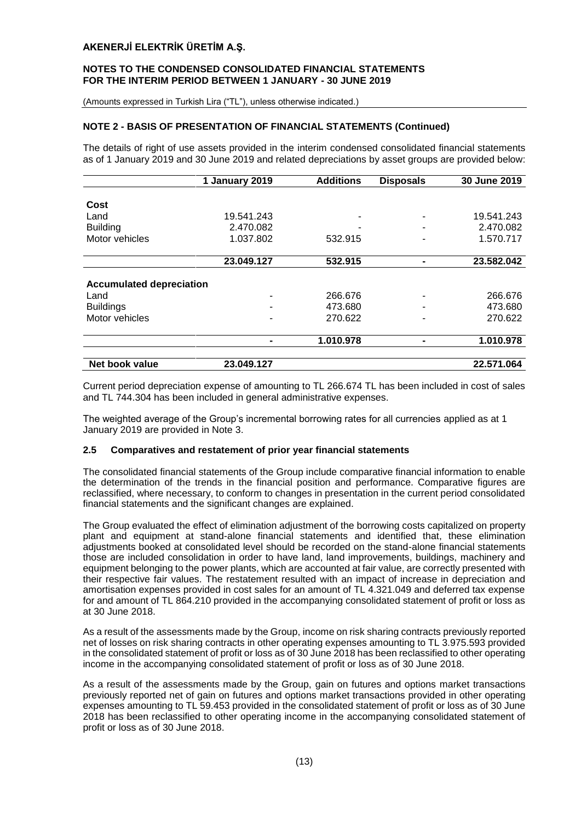#### **NOTES TO THE CONDENSED CONSOLIDATED FINANCIAL STATEMENTS FOR THE INTERIM PERIOD BETWEEN 1 JANUARY - 30 JUNE 2019**

(Amounts expressed in Turkish Lira ("TL"), unless otherwise indicated.)

## **NOTE 2 - BASIS OF PRESENTATION OF FINANCIAL STATEMENTS (Continued)**

The details of right of use assets provided in the interim condensed consolidated financial statements as of 1 January 2019 and 30 June 2019 and related depreciations by asset groups are provided below:

|                                 | 1 January 2019 | <b>Additions</b> | <b>Disposals</b> | 30 June 2019 |
|---------------------------------|----------------|------------------|------------------|--------------|
|                                 |                |                  |                  |              |
| Cost                            |                |                  |                  |              |
| Land                            | 19.541.243     |                  |                  | 19.541.243   |
| <b>Building</b>                 | 2.470.082      |                  |                  | 2.470.082    |
| Motor vehicles                  | 1.037.802      | 532.915          |                  | 1.570.717    |
|                                 | 23.049.127     | 532.915          |                  | 23.582.042   |
|                                 |                |                  |                  |              |
| <b>Accumulated depreciation</b> |                |                  |                  |              |
| Land                            |                | 266.676          |                  | 266.676      |
| <b>Buildings</b>                |                | 473.680          |                  | 473.680      |
| Motor vehicles                  |                | 270.622          |                  | 270.622      |
|                                 |                | 1.010.978        |                  | 1.010.978    |
|                                 |                |                  |                  |              |
| Net book value                  | 23.049.127     |                  |                  | 22.571.064   |

Current period depreciation expense of amounting to TL 266.674 TL has been included in cost of sales and TL 744.304 has been included in general administrative expenses.

The weighted average of the Group's incremental borrowing rates for all currencies applied as at 1 January 2019 are provided in Note 3.

#### **2.5 Comparatives and restatement of prior year financial statements**

The consolidated financial statements of the Group include comparative financial information to enable the determination of the trends in the financial position and performance. Comparative figures are reclassified, where necessary, to conform to changes in presentation in the current period consolidated financial statements and the significant changes are explained.

The Group evaluated the effect of elimination adjustment of the borrowing costs capitalized on property plant and equipment at stand-alone financial statements and identified that, these elimination adjustments booked at consolidated level should be recorded on the stand-alone financial statements those are included consolidation in order to have land, land improvements, buildings, machinery and equipment belonging to the power plants, which are accounted at fair value, are correctly presented with their respective fair values. The restatement resulted with an impact of increase in depreciation and amortisation expenses provided in cost sales for an amount of TL 4.321.049 and deferred tax expense for and amount of TL 864.210 provided in the accompanying consolidated statement of profit or loss as at 30 June 2018.

As a result of the assessments made by the Group, income on risk sharing contracts previously reported net of losses on risk sharing contracts in other operating expenses amounting to TL 3.975.593 provided in the consolidated statement of profit or loss as of 30 June 2018 has been reclassified to other operating income in the accompanying consolidated statement of profit or loss as of 30 June 2018.

As a result of the assessments made by the Group, gain on futures and options market transactions previously reported net of gain on futures and options market transactions provided in other operating expenses amounting to TL 59.453 provided in the consolidated statement of profit or loss as of 30 June 2018 has been reclassified to other operating income in the accompanying consolidated statement of profit or loss as of 30 June 2018.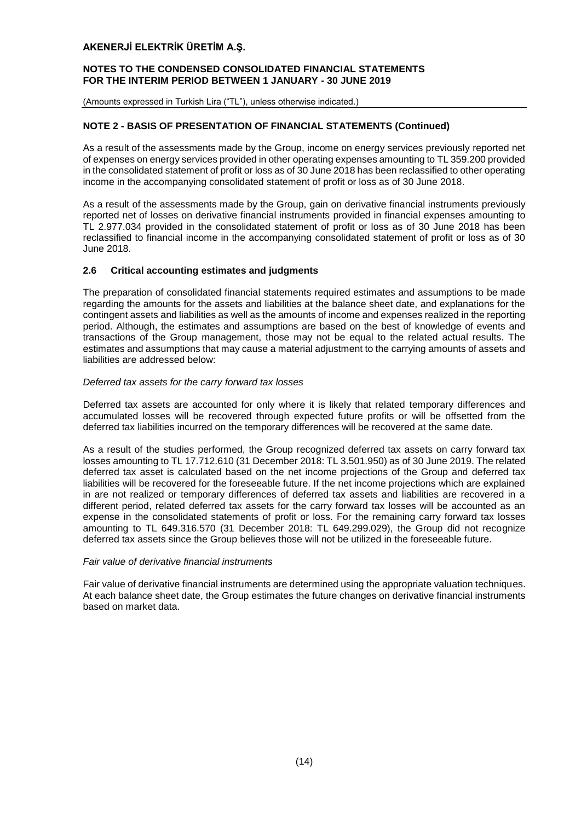#### **NOTES TO THE CONDENSED CONSOLIDATED FINANCIAL STATEMENTS FOR THE INTERIM PERIOD BETWEEN 1 JANUARY - 30 JUNE 2019**

(Amounts expressed in Turkish Lira ("TL"), unless otherwise indicated.)

## **NOTE 2 - BASIS OF PRESENTATION OF FINANCIAL STATEMENTS (Continued)**

As a result of the assessments made by the Group, income on energy services previously reported net of expenses on energy services provided in other operating expenses amounting to TL 359.200 provided in the consolidated statement of profit or loss as of 30 June 2018 has been reclassified to other operating income in the accompanying consolidated statement of profit or loss as of 30 June 2018.

As a result of the assessments made by the Group, gain on derivative financial instruments previously reported net of losses on derivative financial instruments provided in financial expenses amounting to TL 2.977.034 provided in the consolidated statement of profit or loss as of 30 June 2018 has been reclassified to financial income in the accompanying consolidated statement of profit or loss as of 30 June 2018.

## **2.6 Critical accounting estimates and judgments**

The preparation of consolidated financial statements required estimates and assumptions to be made regarding the amounts for the assets and liabilities at the balance sheet date, and explanations for the contingent assets and liabilities as well as the amounts of income and expenses realized in the reporting period. Although, the estimates and assumptions are based on the best of knowledge of events and transactions of the Group management, those may not be equal to the related actual results. The estimates and assumptions that may cause a material adjustment to the carrying amounts of assets and liabilities are addressed below:

#### *Deferred tax assets for the carry forward tax losses*

Deferred tax assets are accounted for only where it is likely that related temporary differences and accumulated losses will be recovered through expected future profits or will be offsetted from the deferred tax liabilities incurred on the temporary differences will be recovered at the same date.

As a result of the studies performed, the Group recognized deferred tax assets on carry forward tax losses amounting to TL 17.712.610 (31 December 2018: TL 3.501.950) as of 30 June 2019. The related deferred tax asset is calculated based on the net income projections of the Group and deferred tax liabilities will be recovered for the foreseeable future. If the net income projections which are explained in are not realized or temporary differences of deferred tax assets and liabilities are recovered in a different period, related deferred tax assets for the carry forward tax losses will be accounted as an expense in the consolidated statements of profit or loss. For the remaining carry forward tax losses amounting to TL 649.316.570 (31 December 2018: TL 649.299.029), the Group did not recognize deferred tax assets since the Group believes those will not be utilized in the foreseeable future.

#### *Fair value of derivative financial instruments*

Fair value of derivative financial instruments are determined using the appropriate valuation techniques. At each balance sheet date, the Group estimates the future changes on derivative financial instruments based on market data.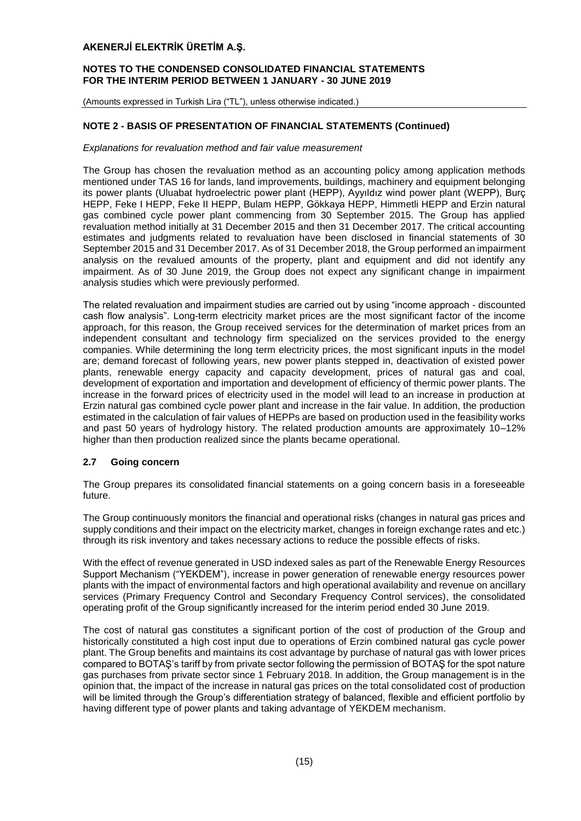#### **NOTES TO THE CONDENSED CONSOLIDATED FINANCIAL STATEMENTS FOR THE INTERIM PERIOD BETWEEN 1 JANUARY - 30 JUNE 2019**

(Amounts expressed in Turkish Lira ("TL"), unless otherwise indicated.)

## **NOTE 2 - BASIS OF PRESENTATION OF FINANCIAL STATEMENTS (Continued)**

#### *Explanations for revaluation method and fair value measurement*

The Group has chosen the revaluation method as an accounting policy among application methods mentioned under TAS 16 for lands, land improvements, buildings, machinery and equipment belonging its power plants (Uluabat hydroelectric power plant (HEPP), Ayyıldız wind power plant (WEPP), Burç HEPP, Feke I HEPP, Feke II HEPP, Bulam HEPP, Gökkaya HEPP, Himmetli HEPP and Erzin natural gas combined cycle power plant commencing from 30 September 2015. The Group has applied revaluation method initially at 31 December 2015 and then 31 December 2017. The critical accounting estimates and judgments related to revaluation have been disclosed in financial statements of 30 September 2015 and 31 December 2017. As of 31 December 2018, the Group performed an impairment analysis on the revalued amounts of the property, plant and equipment and did not identify any impairment. As of 30 June 2019, the Group does not expect any significant change in impairment analysis studies which were previously performed.

The related revaluation and impairment studies are carried out by using "income approach - discounted cash flow analysis". Long-term electricity market prices are the most significant factor of the income approach, for this reason, the Group received services for the determination of market prices from an independent consultant and technology firm specialized on the services provided to the energy companies. While determining the long term electricity prices, the most significant inputs in the model are; demand forecast of following years, new power plants stepped in, deactivation of existed power plants, renewable energy capacity and capacity development, prices of natural gas and coal, development of exportation and importation and development of efficiency of thermic power plants. The increase in the forward prices of electricity used in the model will lead to an increase in production at Erzin natural gas combined cycle power plant and increase in the fair value. In addition, the production estimated in the calculation of fair values of HEPPs are based on production used in the feasibility works and past 50 years of hydrology history. The related production amounts are approximately 10–12% higher than then production realized since the plants became operational.

## **2.7 Going concern**

The Group prepares its consolidated financial statements on a going concern basis in a foreseeable future.

The Group continuously monitors the financial and operational risks (changes in natural gas prices and supply conditions and their impact on the electricity market, changes in foreign exchange rates and etc.) through its risk inventory and takes necessary actions to reduce the possible effects of risks.

With the effect of revenue generated in USD indexed sales as part of the Renewable Energy Resources Support Mechanism ("YEKDEM"), increase in power generation of renewable energy resources power plants with the impact of environmental factors and high operational availability and revenue on ancillary services (Primary Frequency Control and Secondary Frequency Control services), the consolidated operating profit of the Group significantly increased for the interim period ended 30 June 2019.

The cost of natural gas constitutes a significant portion of the cost of production of the Group and historically constituted a high cost input due to operations of Erzin combined natural gas cycle power plant. The Group benefits and maintains its cost advantage by purchase of natural gas with lower prices compared to BOTAŞ's tariff by from private sector following the permission of BOTAŞ for the spot nature gas purchases from private sector since 1 February 2018. In addition, the Group management is in the opinion that, the impact of the increase in natural gas prices on the total consolidated cost of production will be limited through the Group's differentiation strategy of balanced, flexible and efficient portfolio by having different type of power plants and taking advantage of YEKDEM mechanism.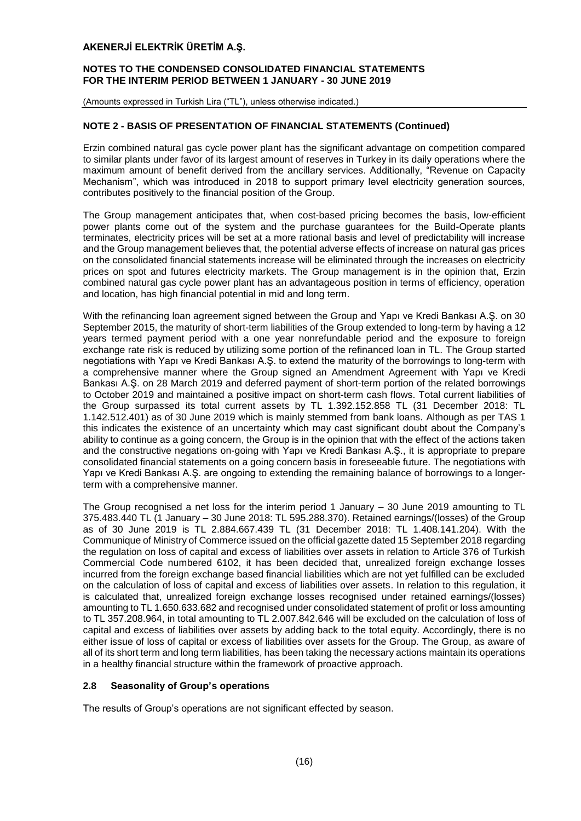#### **NOTES TO THE CONDENSED CONSOLIDATED FINANCIAL STATEMENTS FOR THE INTERIM PERIOD BETWEEN 1 JANUARY - 30 JUNE 2019**

(Amounts expressed in Turkish Lira ("TL"), unless otherwise indicated.)

## **NOTE 2 - BASIS OF PRESENTATION OF FINANCIAL STATEMENTS (Continued)**

Erzin combined natural gas cycle power plant has the significant advantage on competition compared to similar plants under favor of its largest amount of reserves in Turkey in its daily operations where the maximum amount of benefit derived from the ancillary services. Additionally, "Revenue on Capacity Mechanism", which was introduced in 2018 to support primary level electricity generation sources, contributes positively to the financial position of the Group.

The Group management anticipates that, when cost-based pricing becomes the basis, low-efficient power plants come out of the system and the purchase guarantees for the Build-Operate plants terminates, electricity prices will be set at a more rational basis and level of predictability will increase and the Group management believes that, the potential adverse effects of increase on natural gas prices on the consolidated financial statements increase will be eliminated through the increases on electricity prices on spot and futures electricity markets. The Group management is in the opinion that, Erzin combined natural gas cycle power plant has an advantageous position in terms of efficiency, operation and location, has high financial potential in mid and long term.

With the refinancing loan agreement signed between the Group and Yapı ve Kredi Bankası A.Ş. on 30 September 2015, the maturity of short-term liabilities of the Group extended to long-term by having a 12 years termed payment period with a one year nonrefundable period and the exposure to foreign exchange rate risk is reduced by utilizing some portion of the refinanced loan in TL. The Group started negotiations with Yapı ve Kredi Bankası A.Ş. to extend the maturity of the borrowings to long-term with a comprehensive manner where the Group signed an Amendment Agreement with Yapı ve Kredi Bankası A.Ş. on 28 March 2019 and deferred payment of short-term portion of the related borrowings to October 2019 and maintained a positive impact on short-term cash flows. Total current liabilities of the Group surpassed its total current assets by TL 1.392.152.858 TL (31 December 2018: TL 1.142.512.401) as of 30 June 2019 which is mainly stemmed from bank loans. Although as per TAS 1 this indicates the existence of an uncertainty which may cast significant doubt about the Company's ability to continue as a going concern, the Group is in the opinion that with the effect of the actions taken and the constructive negations on-going with Yapı ve Kredi Bankası A.Ş., it is appropriate to prepare consolidated financial statements on a going concern basis in foreseeable future. The negotiations with Yapı ve Kredi Bankası A.Ş. are ongoing to extending the remaining balance of borrowings to a longerterm with a comprehensive manner.

The Group recognised a net loss for the interim period 1 January – 30 June 2019 amounting to TL 375.483.440 TL (1 January – 30 June 2018: TL 595.288.370). Retained earnings/(losses) of the Group as of 30 June 2019 is TL 2.884.667.439 TL (31 December 2018: TL 1.408.141.204). With the Communique of Ministry of Commerce issued on the official gazette dated 15 September 2018 regarding the regulation on loss of capital and excess of liabilities over assets in relation to Article 376 of Turkish Commercial Code numbered 6102, it has been decided that, unrealized foreign exchange losses incurred from the foreign exchange based financial liabilities which are not yet fulfilled can be excluded on the calculation of loss of capital and excess of liabilities over assets. In relation to this regulation, it is calculated that, unrealized foreign exchange losses recognised under retained earnings/(losses) amounting to TL 1.650.633.682 and recognised under consolidated statement of profit or loss amounting to TL 357.208.964, in total amounting to TL 2.007.842.646 will be excluded on the calculation of loss of capital and excess of liabilities over assets by adding back to the total equity. Accordingly, there is no either issue of loss of capital or excess of liabilities over assets for the Group. The Group, as aware of all of its short term and long term liabilities, has been taking the necessary actions maintain its operations in a healthy financial structure within the framework of proactive approach.

## **2.8 Seasonality of Group's operations**

The results of Group's operations are not significant effected by season.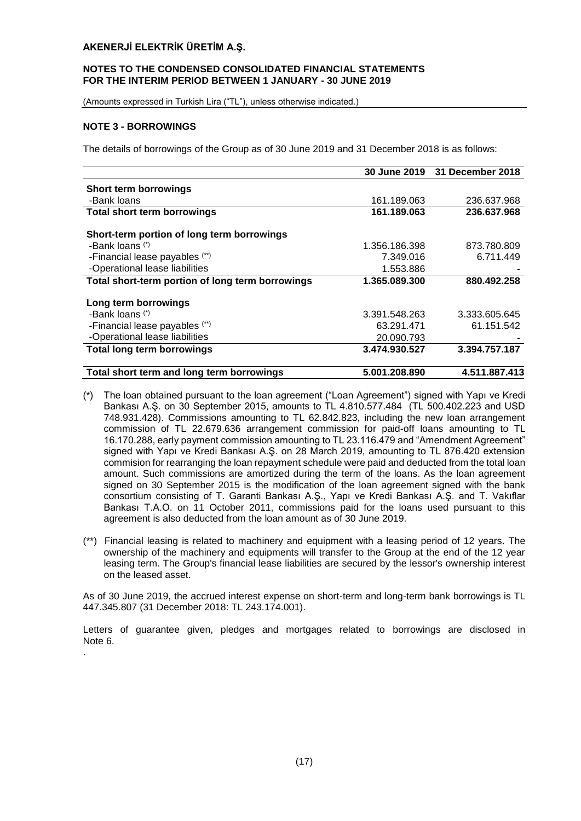#### **NOTES TO THE CONDENSED CONSOLIDATED FINANCIAL STATEMENTS FOR THE INTERIM PERIOD BETWEEN 1 JANUARY - 30 JUNE 2019**

(Amounts expressed in Turkish Lira ("TL"), unless otherwise indicated.)

## **NOTE 3 - BORROWINGS**

.

The details of borrowings of the Group as of 30 June 2019 and 31 December 2018 is as follows:

|                                                  | 30 June 2019  | 31 December 2018 |
|--------------------------------------------------|---------------|------------------|
| Short term borrowings                            |               |                  |
| -Bank loans                                      | 161.189.063   | 236.637.968      |
| <b>Total short term borrowings</b>               | 161.189.063   | 236.637.968      |
| Short-term portion of long term borrowings       |               |                  |
| -Bank loans (*)                                  | 1.356.186.398 | 873.780.809      |
| -Financial lease payables (**)                   | 7.349.016     | 6.711.449        |
| -Operational lease liabilities                   | 1.553.886     |                  |
| Total short-term portion of long term borrowings | 1.365.089.300 | 880.492.258      |
| Long term borrowings                             |               |                  |
| -Bank loans (*)                                  | 3.391.548.263 | 3.333.605.645    |
| -Financial lease payables (**)                   | 63.291.471    | 61.151.542       |
| -Operational lease liabilities                   | 20.090.793    |                  |
| <b>Total long term borrowings</b>                | 3.474.930.527 | 3.394.757.187    |
| Total short term and long term borrowings        | 5.001.208.890 | 4.511.887.413    |

- (\*) The loan obtained pursuant to the loan agreement ("Loan Agreement") signed with Yapı ve Kredi Bankası A.Ş. on 30 September 2015, amounts to TL 4.810.577.484 (TL 500.402.223 and USD 748.931.428). Commissions amounting to TL 62.842.823, including the new loan arrangement commission of TL 22.679.636 arrangement commission for paid-off loans amounting to TL 16.170.288, early payment commission amounting to TL 23.116.479 and "Amendment Agreement" signed with Yapı ve Kredi Bankası A.Ş. on 28 March 2019, amounting to TL 876.420 extension commision for rearranging the loan repayment schedule were paid and deducted from the total loan amount. Such commissions are amortized during the term of the loans. As the loan agreement signed on 30 September 2015 is the modification of the loan agreement signed with the bank consortium consisting of T. Garanti Bankası A.Ş., Yapı ve Kredi Bankası A.Ş. and T. Vakıflar Bankası T.A.O. on 11 October 2011, commissions paid for the loans used pursuant to this agreement is also deducted from the loan amount as of 30 June 2019.
- (\*\*) Financial leasing is related to machinery and equipment with a leasing period of 12 years. The ownership of the machinery and equipments will transfer to the Group at the end of the 12 year leasing term. The Group's financial lease liabilities are secured by the lessor's ownership interest on the leased asset.

As of 30 June 2019, the accrued interest expense on short-term and long-term bank borrowings is TL 447.345.807 (31 December 2018: TL 243.174.001).

Letters of guarantee given, pledges and mortgages related to borrowings are disclosed in Note 6.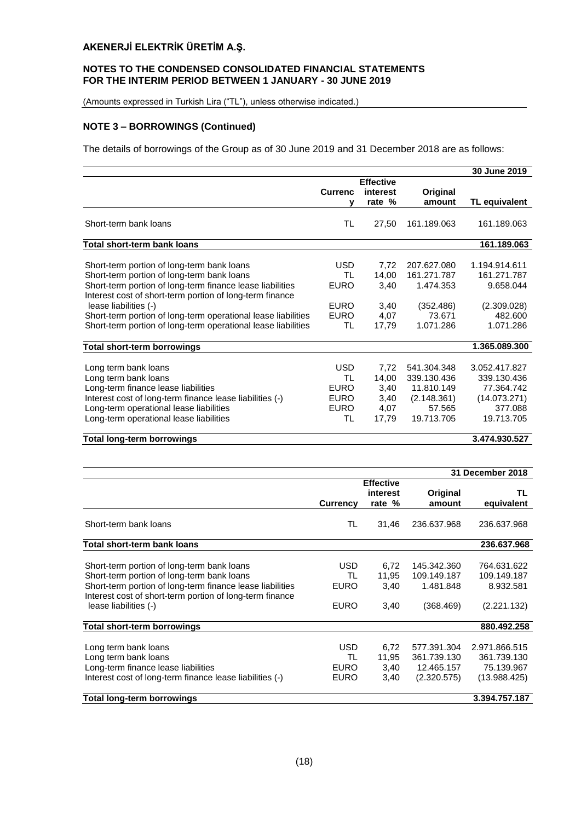## **NOTES TO THE CONDENSED CONSOLIDATED FINANCIAL STATEMENTS FOR THE INTERIM PERIOD BETWEEN 1 JANUARY - 30 JUNE 2019**

(Amounts expressed in Turkish Lira ("TL"), unless otherwise indicated.)

## **NOTE 3 – BORROWINGS (Continued)**

The details of borrowings of the Group as of 30 June 2019 and 31 December 2018 are as follows:

|                                                                                                                                                                                                                                                                                                                                                                              |                                                                     |                                                |                                                                                 | 30 June 2019                                                                        |
|------------------------------------------------------------------------------------------------------------------------------------------------------------------------------------------------------------------------------------------------------------------------------------------------------------------------------------------------------------------------------|---------------------------------------------------------------------|------------------------------------------------|---------------------------------------------------------------------------------|-------------------------------------------------------------------------------------|
|                                                                                                                                                                                                                                                                                                                                                                              |                                                                     | <b>Effective</b>                               |                                                                                 |                                                                                     |
|                                                                                                                                                                                                                                                                                                                                                                              | <b>Currenc</b>                                                      | interest                                       | Original                                                                        |                                                                                     |
|                                                                                                                                                                                                                                                                                                                                                                              | ν                                                                   | rate %                                         | amount                                                                          | TL equivalent                                                                       |
| Short-term bank loans                                                                                                                                                                                                                                                                                                                                                        | TL                                                                  | 27,50                                          | 161.189.063                                                                     | 161.189.063                                                                         |
| Total short-term bank loans                                                                                                                                                                                                                                                                                                                                                  |                                                                     |                                                |                                                                                 | 161.189.063                                                                         |
| Short-term portion of long-term bank loans<br>Short-term portion of long-term bank loans<br>Short-term portion of long-term finance lease liabilities<br>Interest cost of short-term portion of long-term finance<br>lease liabilities (-)<br>Short-term portion of long-term operational lease liabilities<br>Short-term portion of long-term operational lease liabilities | <b>USD</b><br>TL<br><b>EURO</b><br><b>EURO</b><br><b>EURO</b><br>TL | 7,72<br>14,00<br>3,40<br>3,40<br>4,07<br>17,79 | 207.627.080<br>161.271.787<br>1.474.353<br>(352.486)<br>73.671<br>1.071.286     | 1.194.914.611<br>161.271.787<br>9.658.044<br>(2.309.028)<br>482.600<br>1.071.286    |
| Total short-term borrowings                                                                                                                                                                                                                                                                                                                                                  |                                                                     |                                                |                                                                                 | 1.365.089.300                                                                       |
| Long term bank loans<br>Long term bank loans<br>Long-term finance lease liabilities<br>Interest cost of long-term finance lease liabilities (-)<br>Long-term operational lease liabilities<br>Long-term operational lease liabilities                                                                                                                                        | <b>USD</b><br>TL<br><b>EURO</b><br><b>EURO</b><br><b>EURO</b><br>TL | 7,72<br>14,00<br>3,40<br>3,40<br>4,07<br>17,79 | 541.304.348<br>339.130.436<br>11.810.149<br>(2.148.361)<br>57.565<br>19.713.705 | 3.052.417.827<br>339.130.436<br>77.364.742<br>(14.073.271)<br>377.088<br>19.713.705 |

#### **Total long-term borrowings 3.474.930.527**

|                                                           |                 |                  |             | <b>31 December 2018</b> |
|-----------------------------------------------------------|-----------------|------------------|-------------|-------------------------|
|                                                           |                 | <b>Effective</b> |             |                         |
|                                                           |                 | interest         | Original    | TL                      |
|                                                           | <b>Currency</b> | rate %           | amount      | equivalent              |
| Short-term bank loans                                     | TL              | 31,46            | 236.637.968 | 236.637.968             |
| Total short-term bank loans                               |                 |                  |             | 236.637.968             |
|                                                           |                 |                  |             |                         |
| Short-term portion of long-term bank loans                | <b>USD</b>      | 6,72             | 145.342.360 | 764.631.622             |
| Short-term portion of long-term bank loans                | TL              | 11,95            | 109.149.187 | 109.149.187             |
| Short-term portion of long-term finance lease liabilities | <b>EURO</b>     | 3,40             | 1.481.848   | 8.932.581               |
| Interest cost of short-term portion of long-term finance  |                 |                  |             |                         |
| lease liabilities (-)                                     | <b>EURO</b>     | 3,40             | (368.469)   | (2.221.132)             |
|                                                           |                 |                  |             |                         |
| Total short-term borrowings                               |                 |                  |             | 880.492.258             |
|                                                           |                 |                  |             |                         |
| Long term bank loans                                      | <b>USD</b>      | 6,72             | 577.391.304 | 2.971.866.515           |
| Long term bank loans                                      | TL              | 11,95            | 361.739.130 | 361.739.130             |
| Long-term finance lease liabilities                       | <b>EURO</b>     | 3,40             | 12.465.157  | 75.139.967              |
| Interest cost of long-term finance lease liabilities (-)  | <b>EURO</b>     | 3,40             | (2.320.575) | (13.988.425)            |
|                                                           |                 |                  |             |                         |
| <b>Total long-term borrowings</b>                         |                 |                  |             | 3.394.757.187           |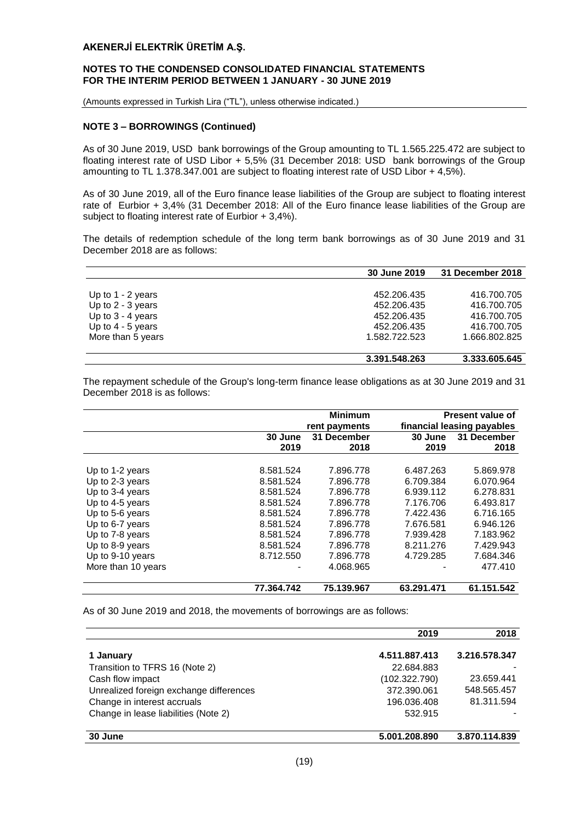#### **NOTES TO THE CONDENSED CONSOLIDATED FINANCIAL STATEMENTS FOR THE INTERIM PERIOD BETWEEN 1 JANUARY - 30 JUNE 2019**

(Amounts expressed in Turkish Lira ("TL"), unless otherwise indicated.)

#### **NOTE 3 – BORROWINGS (Continued)**

As of 30 June 2019, USD bank borrowings of the Group amounting to TL 1.565.225.472 are subject to floating interest rate of USD Libor + 5,5% (31 December 2018: USD bank borrowings of the Group amounting to TL 1.378.347.001 are subject to floating interest rate of USD Libor + 4,5%).

As of 30 June 2019, all of the Euro finance lease liabilities of the Group are subject to floating interest rate of Eurbior + 3,4% (31 December 2018: All of the Euro finance lease liabilities of the Group are subject to floating interest rate of Eurbior + 3,4%).

The details of redemption schedule of the long term bank borrowings as of 30 June 2019 and 31 December 2018 are as follows:

|                     | 30 June 2019  | 31 December 2018 |
|---------------------|---------------|------------------|
|                     |               |                  |
| Up to $1 - 2$ years | 452.206.435   | 416.700.705      |
| Up to $2 - 3$ years | 452.206.435   | 416.700.705      |
| Up to $3 - 4$ years | 452.206.435   | 416.700.705      |
| Up to $4 - 5$ years | 452.206.435   | 416.700.705      |
| More than 5 years   | 1.582.722.523 | 1.666.802.825    |
|                     | 3.391.548.263 | 3.333.605.645    |

The repayment schedule of the Group's long-term finance lease obligations as at 30 June 2019 and 31 December 2018 is as follows:

|                    |            | <b>Minimum</b> |            | <b>Present value of</b>    |
|--------------------|------------|----------------|------------|----------------------------|
|                    |            | rent payments  |            | financial leasing payables |
|                    | 30 June    | 31 December    | 30 June    | 31 December                |
|                    | 2019       | 2018           | 2019       | 2018                       |
|                    |            |                |            |                            |
| Up to 1-2 years    | 8.581.524  | 7.896.778      | 6.487.263  | 5.869.978                  |
| Up to 2-3 years    | 8.581.524  | 7.896.778      | 6.709.384  | 6.070.964                  |
| Up to 3-4 years    | 8.581.524  | 7.896.778      | 6.939.112  | 6.278.831                  |
| Up to 4-5 years    | 8.581.524  | 7.896.778      | 7.176.706  | 6.493.817                  |
| Up to 5-6 years    | 8.581.524  | 7.896.778      | 7.422.436  | 6.716.165                  |
| Up to 6-7 years    | 8.581.524  | 7.896.778      | 7.676.581  | 6.946.126                  |
| Up to 7-8 years    | 8.581.524  | 7.896.778      | 7.939.428  | 7.183.962                  |
| Up to 8-9 years    | 8.581.524  | 7.896.778      | 8.211.276  | 7.429.943                  |
| Up to 9-10 years   | 8.712.550  | 7.896.778      | 4.729.285  | 7.684.346                  |
| More than 10 years |            | 4.068.965      |            | 477.410                    |
|                    | 77.364.742 | 75.139.967     | 63.291.471 | 61.151.542                 |

As of 30 June 2019 and 2018, the movements of borrowings are as follows:

|                                         | 2019          | 2018          |
|-----------------------------------------|---------------|---------------|
| 1 January                               | 4.511.887.413 | 3.216.578.347 |
| Transition to TFRS 16 (Note 2)          | 22.684.883    |               |
| Cash flow impact                        | (102.322.790) | 23.659.441    |
| Unrealized foreign exchange differences | 372.390.061   | 548.565.457   |
| Change in interest accruals             | 196.036.408   | 81.311.594    |
| Change in lease liabilities (Note 2)    | 532.915       |               |
| 30 June                                 | 5.001.208.890 | 3.870.114.839 |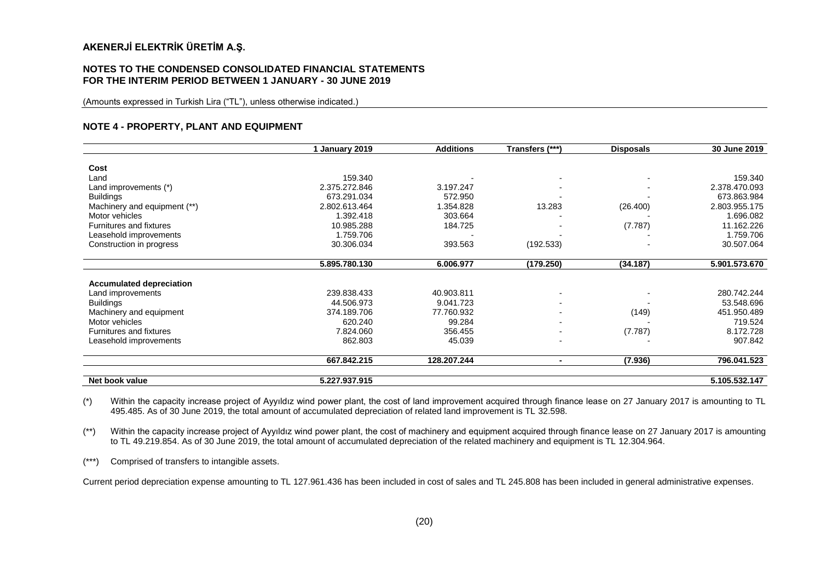#### **NOTES TO THE CONDENSED CONSOLIDATED FINANCIAL STATEMENTS FOR THE INTERIM PERIOD BETWEEN 1 JANUARY - 30 JUNE 2019**

(Amounts expressed in Turkish Lira ("TL"), unless otherwise indicated.)

#### **NOTE 4 - PROPERTY, PLANT AND EQUIPMENT**

|                                 | 1 January 2019 | <b>Additions</b> | Transfers (***)          | <b>Disposals</b> | 30 June 2019  |
|---------------------------------|----------------|------------------|--------------------------|------------------|---------------|
| Cost                            |                |                  |                          |                  |               |
| Land                            | 159.340        |                  |                          |                  | 159.340       |
| Land improvements (*)           | 2.375.272.846  | 3.197.247        |                          |                  | 2.378.470.093 |
| <b>Buildings</b>                | 673.291.034    | 572.950          |                          |                  | 673.863.984   |
| Machinery and equipment (**)    | 2.802.613.464  | 1.354.828        | 13.283                   | (26.400)         | 2.803.955.175 |
| Motor vehicles                  | 1.392.418      | 303.664          |                          |                  | 1.696.082     |
| Furnitures and fixtures         | 10.985.288     | 184.725          |                          | (7.787)          | 11.162.226    |
| Leasehold improvements          | 1.759.706      |                  |                          |                  | 1.759.706     |
| Construction in progress        | 30.306.034     | 393.563          | (192.533)                |                  | 30.507.064    |
|                                 | 5.895.780.130  | 6.006.977        | (179.250)                | (34.187)         | 5.901.573.670 |
| <b>Accumulated depreciation</b> |                |                  |                          |                  |               |
| Land improvements               | 239.838.433    | 40.903.811       | $\overline{\phantom{a}}$ |                  | 280.742.244   |
| <b>Buildings</b>                | 44.506.973     | 9.041.723        | $\blacksquare$           |                  | 53.548.696    |
| Machinery and equipment         | 374.189.706    | 77.760.932       | $\blacksquare$           | (149)            | 451.950.489   |
| Motor vehicles                  | 620.240        | 99.284           | $\blacksquare$           |                  | 719.524       |
| Furnitures and fixtures         | 7.824.060      | 356.455          | $\blacksquare$           | (7.787)          | 8.172.728     |
| Leasehold improvements          | 862.803        | 45.039           | $\overline{\phantom{a}}$ |                  | 907.842       |
|                                 | 667.842.215    | 128.207.244      | $\blacksquare$           | (7.936)          | 796.041.523   |
| Net book value                  | 5.227.937.915  |                  |                          |                  | 5.105.532.147 |

(\*) Within the capacity increase project of Ayyıldız wind power plant, the cost of land improvement acquired through finance lease on 27 January 2017 is amounting to TL 495.485. As of 30 June 2019, the total amount of accumulated depreciation of related land improvement is TL 32.598.

(\*\*) Within the capacity increase project of Ayyıldız wind power plant, the cost of machinery and equipment acquired through finance lease on 27 January 2017 is amounting to TL 49.219.854. As of 30 June 2019, the total amount of accumulated depreciation of the related machinery and equipment is TL 12.304.964.

(\*\*\*) Comprised of transfers to intangible assets.

Current period depreciation expense amounting to TL 127.961.436 has been included in cost of sales and TL 245.808 has been included in general administrative expenses.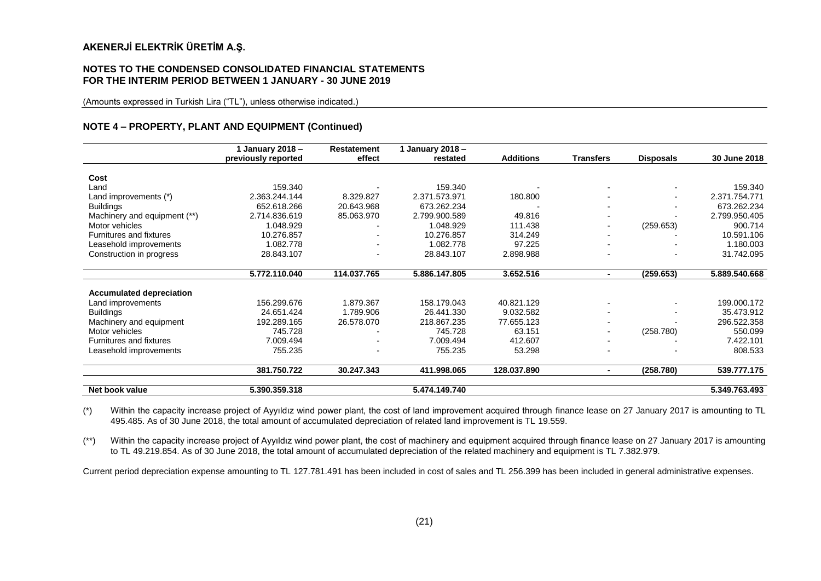#### **NOTES TO THE CONDENSED CONSOLIDATED FINANCIAL STATEMENTS FOR THE INTERIM PERIOD BETWEEN 1 JANUARY - 30 JUNE 2019**

(Amounts expressed in Turkish Lira ("TL"), unless otherwise indicated.)

#### **NOTE 4 – PROPERTY, PLANT AND EQUIPMENT (Continued)**

|                                 | 1 January 2018 –    | <b>Restatement</b> | 1 January 2018 - |                  |                          |                  |               |
|---------------------------------|---------------------|--------------------|------------------|------------------|--------------------------|------------------|---------------|
|                                 | previously reported | effect             | restated         | <b>Additions</b> | <b>Transfers</b>         | <b>Disposals</b> | 30 June 2018  |
| Cost                            |                     |                    |                  |                  |                          |                  |               |
| Land                            | 159.340             |                    | 159.340          |                  |                          |                  | 159.340       |
| Land improvements (*)           | 2.363.244.144       | 8.329.827          | 2.371.573.971    | 180.800          | $\overline{\phantom{0}}$ | ۰                | 2.371.754.771 |
| <b>Buildings</b>                | 652.618.266         | 20.643.968         | 673.262.234      |                  | $\overline{\phantom{a}}$ |                  | 673.262.234   |
| Machinery and equipment (**)    | 2.714.836.619       | 85.063.970         | 2.799.900.589    | 49.816           | $\blacksquare$           |                  | 2.799.950.405 |
| Motor vehicles                  | 1.048.929           |                    | 1.048.929        | 111.438          | $\blacksquare$           | (259.653)        | 900.714       |
| Furnitures and fixtures         | 10.276.857          |                    | 10.276.857       | 314.249          |                          |                  | 10.591.106    |
| Leasehold improvements          | 1.082.778           | -                  | 1.082.778        | 97.225           | $\blacksquare$           |                  | 1.180.003     |
| Construction in progress        | 28.843.107          |                    | 28.843.107       | 2.898.988        |                          |                  | 31.742.095    |
|                                 | 5.772.110.040       | 114.037.765        | 5.886.147.805    | 3.652.516        | $\sim$                   | (259.653)        | 5.889.540.668 |
|                                 |                     |                    |                  |                  |                          |                  |               |
| <b>Accumulated depreciation</b> | 156.299.676         | 1.879.367          | 158.179.043      | 40.821.129       |                          |                  | 199.000.172   |
| Land improvements               |                     |                    |                  |                  |                          |                  |               |
| <b>Buildings</b>                | 24.651.424          | 1.789.906          | 26.441.330       | 9.032.582        | $\overline{\phantom{0}}$ |                  | 35.473.912    |
| Machinery and equipment         | 192.289.165         | 26.578.070         | 218.867.235      | 77.655.123       | $\blacksquare$           |                  | 296.522.358   |
| Motor vehicles                  | 745.728             |                    | 745.728          | 63.151           | $\blacksquare$           | (258.780)        | 550.099       |
| Furnitures and fixtures         | 7.009.494           |                    | 7.009.494        | 412.607          | $\overline{\phantom{0}}$ |                  | 7.422.101     |
| Leasehold improvements          | 755.235             |                    | 755.235          | 53.298           |                          |                  | 808.533       |
|                                 | 381.750.722         | 30.247.343         | 411.998.065      | 128.037.890      | ۰                        | (258.780)        | 539.777.175   |
| Net book value                  | 5.390.359.318       |                    | 5.474.149.740    |                  |                          |                  | 5.349.763.493 |

(\*) Within the capacity increase project of Ayyıldız wind power plant, the cost of land improvement acquired through finance lease on 27 January 2017 is amounting to TL 495.485. As of 30 June 2018, the total amount of accumulated depreciation of related land improvement is TL 19.559.

(\*\*) Within the capacity increase project of Ayyıldız wind power plant, the cost of machinery and equipment acquired through finance lease on 27 January 2017 is amounting to TL 49.219.854. As of 30 June 2018, the total amount of accumulated depreciation of the related machinery and equipment is TL 7.382.979.

Current period depreciation expense amounting to TL 127.781.491 has been included in cost of sales and TL 256.399 has been included in general administrative expenses.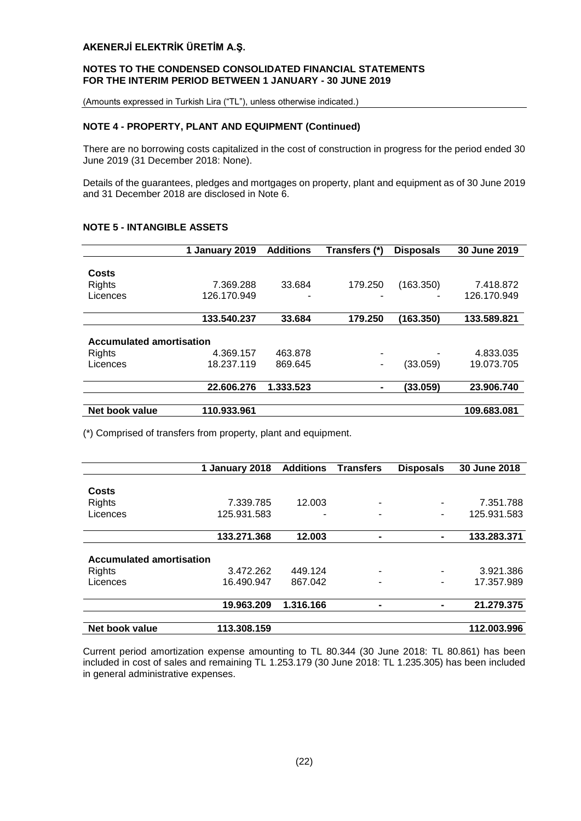#### **NOTES TO THE CONDENSED CONSOLIDATED FINANCIAL STATEMENTS FOR THE INTERIM PERIOD BETWEEN 1 JANUARY - 30 JUNE 2019**

(Amounts expressed in Turkish Lira ("TL"), unless otherwise indicated.)

#### **NOTE 4 - PROPERTY, PLANT AND EQUIPMENT (Continued)**

There are no borrowing costs capitalized in the cost of construction in progress for the period ended 30 June 2019 (31 December 2018: None).

Details of the guarantees, pledges and mortgages on property, plant and equipment as of 30 June 2019 and 31 December 2018 are disclosed in Note 6.

|                                 | 1 January 2019 | <b>Additions</b> | Transfers (*)  | <b>Disposals</b> | 30 June 2019 |
|---------------------------------|----------------|------------------|----------------|------------------|--------------|
|                                 |                |                  |                |                  |              |
| Costs                           |                |                  |                |                  |              |
| Rights                          | 7.369.288      | 33.684           | 179.250        | (163.350)        | 7.418.872    |
| Licences                        | 126.170.949    | -                | -              |                  | 126.170.949  |
|                                 | 133.540.237    | 33.684           | 179.250        | (163.350)        | 133.589.821  |
| <b>Accumulated amortisation</b> |                |                  |                |                  |              |
| Rights                          | 4.369.157      | 463.878          | ۰              |                  | 4.833.035    |
| Licences                        | 18.237.119     | 869.645          | ۰              | (33.059)         | 19.073.705   |
|                                 | 22.606.276     | 1.333.523        | $\blacksquare$ | (33.059)         | 23.906.740   |
| Net book value                  | 110.933.961    |                  |                |                  | 109.683.081  |

#### **NOTE 5 - INTANGIBLE ASSETS**

(\*) Comprised of transfers from property, plant and equipment.

|                                 | 1 January 2018 | <b>Additions</b> | <b>Transfers</b> | <b>Disposals</b> | 30 June 2018 |
|---------------------------------|----------------|------------------|------------------|------------------|--------------|
|                                 |                |                  |                  |                  |              |
| Costs                           |                |                  |                  |                  |              |
| <b>Rights</b>                   | 7.339.785      | 12.003           |                  | ٠                | 7.351.788    |
| Licences                        | 125.931.583    |                  |                  | ٠                | 125.931.583  |
|                                 | 133.271.368    | 12.003           | $\blacksquare$   | $\blacksquare$   | 133.283.371  |
| <b>Accumulated amortisation</b> |                |                  |                  |                  |              |
| <b>Rights</b>                   | 3.472.262      | 449.124          |                  |                  | 3.921.386    |
| Licences                        | 16.490.947     | 867.042          |                  | ٠                | 17.357.989   |
|                                 | 19.963.209     | 1.316.166        |                  |                  | 21.279.375   |
| Net book value                  | 113.308.159    |                  |                  |                  | 112.003.996  |

Current period amortization expense amounting to TL 80.344 (30 June 2018: TL 80.861) has been included in cost of sales and remaining TL 1.253.179 (30 June 2018: TL 1.235.305) has been included in general administrative expenses.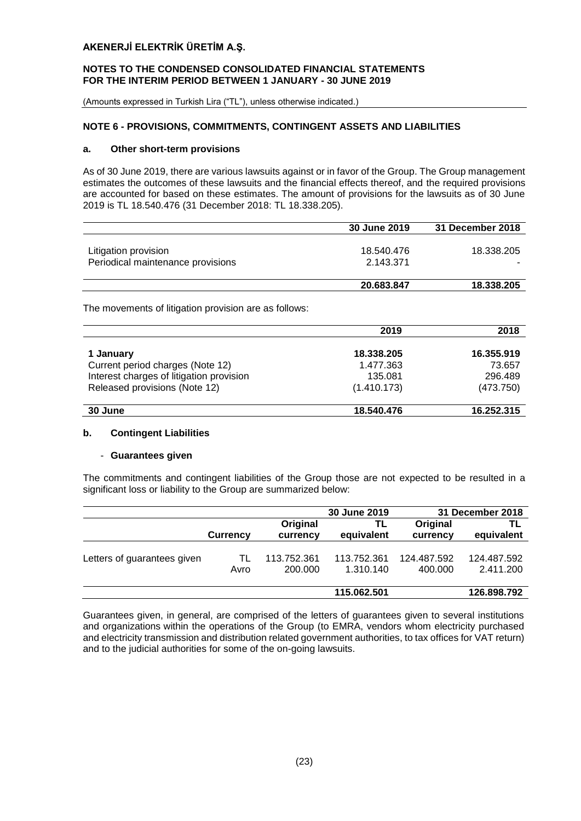#### **NOTES TO THE CONDENSED CONSOLIDATED FINANCIAL STATEMENTS FOR THE INTERIM PERIOD BETWEEN 1 JANUARY - 30 JUNE 2019**

(Amounts expressed in Turkish Lira ("TL"), unless otherwise indicated.)

## **NOTE 6 - PROVISIONS, COMMITMENTS, CONTINGENT ASSETS AND LIABILITIES**

#### **a. Other short-term provisions**

As of 30 June 2019, there are various lawsuits against or in favor of the Group. The Group management estimates the outcomes of these lawsuits and the financial effects thereof, and the required provisions are accounted for based on these estimates. The amount of provisions for the lawsuits as of 30 June 2019 is TL 18.540.476 (31 December 2018: TL 18.338.205).

|                                   | <b>30 June 2019</b> | 31 December 2018 |
|-----------------------------------|---------------------|------------------|
|                                   |                     |                  |
| Litigation provision              | 18.540.476          | 18.338.205       |
| Periodical maintenance provisions | 2.143.371           |                  |
|                                   |                     |                  |
|                                   | 20.683.847          | 18.338.205       |

The movements of litigation provision are as follows:

|                                          | 2019        | 2018       |
|------------------------------------------|-------------|------------|
| 1 January                                | 18.338.205  | 16.355.919 |
| Current period charges (Note 12)         | 1.477.363   | 73.657     |
| Interest charges of litigation provision | 135.081     | 296.489    |
| Released provisions (Note 12)            | (1.410.173) | (473.750)  |
| 30 June                                  | 18.540.476  | 16.252.315 |

## **b. Contingent Liabilities**

#### - **Guarantees given**

The commitments and contingent liabilities of the Group those are not expected to be resulted in a significant loss or liability to the Group are summarized below:

|                             |                 |                        | 30 June 2019             |                        | 31 December 2018         |
|-----------------------------|-----------------|------------------------|--------------------------|------------------------|--------------------------|
|                             | <b>Currency</b> | Original<br>currency   | TL<br>equivalent         | Original<br>currency   | ΤL<br>equivalent         |
| Letters of guarantees given | TL<br>Avro      | 113.752.361<br>200.000 | 113.752.361<br>1.310.140 | 124.487.592<br>400.000 | 124.487.592<br>2.411.200 |
|                             |                 |                        | 115.062.501              |                        | 126.898.792              |

Guarantees given, in general, are comprised of the letters of guarantees given to several institutions and organizations within the operations of the Group (to EMRA, vendors whom electricity purchased and electricity transmission and distribution related government authorities, to tax offices for VAT return) and to the judicial authorities for some of the on-going lawsuits.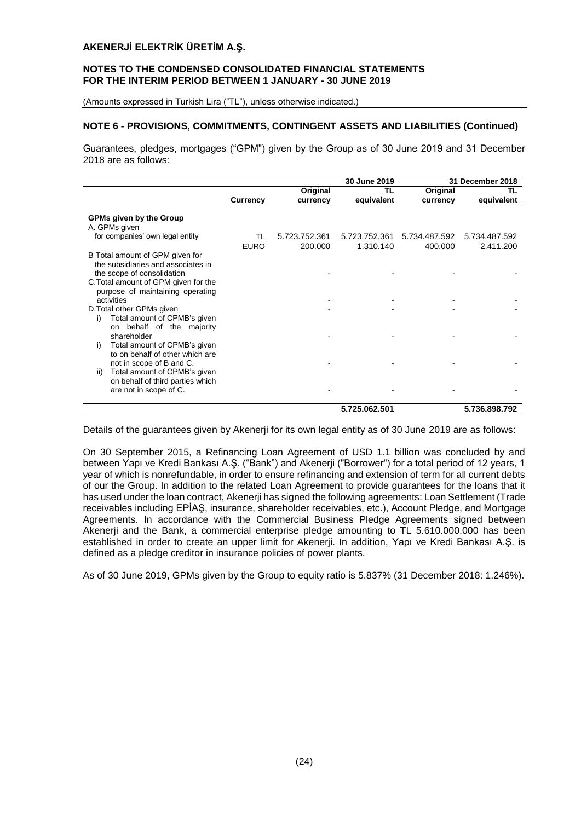#### **NOTES TO THE CONDENSED CONSOLIDATED FINANCIAL STATEMENTS FOR THE INTERIM PERIOD BETWEEN 1 JANUARY - 30 JUNE 2019**

(Amounts expressed in Turkish Lira ("TL"), unless otherwise indicated.)

#### **NOTE 6 - PROVISIONS, COMMITMENTS, CONTINGENT ASSETS AND LIABILITIES (Continued)**

Guarantees, pledges, mortgages ("GPM") given by the Group as of 30 June 2019 and 31 December 2018 are as follows:

|                                                                                                                                                                                                                            |                 |               | 30 June 2019  |               | 31 December 2018 |
|----------------------------------------------------------------------------------------------------------------------------------------------------------------------------------------------------------------------------|-----------------|---------------|---------------|---------------|------------------|
|                                                                                                                                                                                                                            |                 | Original      | TL            | Original      | ΤL               |
|                                                                                                                                                                                                                            | <b>Currency</b> | currency      | equivalent    | currency      | equivalent       |
| <b>GPMs given by the Group</b><br>A. GPMs given<br>for companies' own legal entity                                                                                                                                         | TL              | 5.723.752.361 | 5.723.752.361 | 5.734.487.592 | 5.734.487.592    |
| B Total amount of GPM given for<br>the subsidiaries and associates in<br>the scope of consolidation<br>C. Total amount of GPM given for the<br>purpose of maintaining operating<br>activities<br>D. Total other GPMs given | <b>EURO</b>     | 200.000       | 1.310.140     | 400.000       | 2.411.200        |
| Total amount of CPMB's given<br>i)<br>on behalf of the majority<br>shareholder<br>Total amount of CPMB's given<br>i)<br>to on behalf of other which are                                                                    |                 |               |               |               |                  |
| not in scope of B and C.<br>Total amount of CPMB's given<br>ii)<br>on behalf of third parties which<br>are not in scope of C.                                                                                              |                 |               |               |               |                  |
|                                                                                                                                                                                                                            |                 |               | 5.725.062.501 |               | 5.736.898.792    |

Details of the guarantees given by Akenerji for its own legal entity as of 30 June 2019 are as follows:

On 30 September 2015, a Refinancing Loan Agreement of USD 1.1 billion was concluded by and between Yapı ve Kredi Bankası A.Ş. ("Bank") and Akenerji ("Borrower") for a total period of 12 years, 1 year of which is nonrefundable, in order to ensure refinancing and extension of term for all current debts of our the Group. In addition to the related Loan Agreement to provide guarantees for the loans that it has used under the loan contract, Akenerji has signed the following agreements: Loan Settlement (Trade receivables including EPİAŞ, insurance, shareholder receivables, etc.), Account Pledge, and Mortgage Agreements. In accordance with the Commercial Business Pledge Agreements signed between Akenerji and the Bank, a commercial enterprise pledge amounting to TL 5.610.000.000 has been established in order to create an upper limit for Akenerji. In addition, Yapı ve Kredi Bankası A.Ş. is defined as a pledge creditor in insurance policies of power plants.

As of 30 June 2019, GPMs given by the Group to equity ratio is 5.837% (31 December 2018: 1.246%).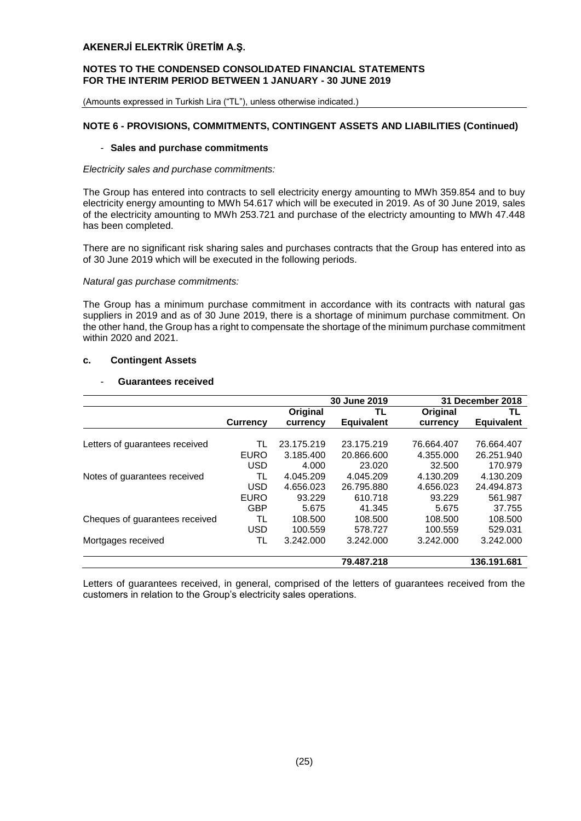#### **NOTES TO THE CONDENSED CONSOLIDATED FINANCIAL STATEMENTS FOR THE INTERIM PERIOD BETWEEN 1 JANUARY - 30 JUNE 2019**

(Amounts expressed in Turkish Lira ("TL"), unless otherwise indicated.)

#### **NOTE 6 - PROVISIONS, COMMITMENTS, CONTINGENT ASSETS AND LIABILITIES (Continued)**

#### - **Sales and purchase commitments**

#### *Electricity sales and purchase commitments:*

The Group has entered into contracts to sell electricity energy amounting to MWh 359.854 and to buy electricity energy amounting to MWh 54.617 which will be executed in 2019. As of 30 June 2019, sales of the electricity amounting to MWh 253.721 and purchase of the electricty amounting to MWh 47.448 has been completed.

There are no significant risk sharing sales and purchases contracts that the Group has entered into as of 30 June 2019 which will be executed in the following periods.

#### *Natural gas purchase commitments:*

The Group has a minimum purchase commitment in accordance with its contracts with natural gas suppliers in 2019 and as of 30 June 2019, there is a shortage of minimum purchase commitment. On the other hand, the Group has a right to compensate the shortage of the minimum purchase commitment within 2020 and 2021.

#### **c. Contingent Assets**

## - **Guarantees received**

|                                |                 |            | 30 June 2019      |            | 31 December 2018  |
|--------------------------------|-----------------|------------|-------------------|------------|-------------------|
|                                |                 | Original   | TL                | Original   | TL                |
|                                | <b>Currency</b> | currency   | <b>Equivalent</b> | currency   | <b>Equivalent</b> |
|                                |                 |            |                   |            |                   |
| Letters of guarantees received | TL              | 23.175.219 | 23.175.219        | 76.664.407 | 76.664.407        |
|                                | <b>EURO</b>     | 3.185.400  | 20.866.600        | 4.355.000  | 26.251.940        |
|                                | USD             | 4.000      | 23.020            | 32.500     | 170.979           |
| Notes of guarantees received   | TL              | 4.045.209  | 4.045.209         | 4.130.209  | 4.130.209         |
|                                | <b>USD</b>      | 4.656.023  | 26.795.880        | 4.656.023  | 24.494.873        |
|                                | <b>EURO</b>     | 93.229     | 610.718           | 93.229     | 561.987           |
|                                | <b>GBP</b>      | 5.675      | 41.345            | 5.675      | 37.755            |
| Cheques of guarantees received | TL              | 108,500    | 108,500           | 108,500    | 108,500           |
|                                | <b>USD</b>      | 100.559    | 578.727           | 100.559    | 529.031           |
| Mortgages received             | TL              | 3.242.000  | 3.242.000         | 3.242.000  | 3.242.000         |
|                                |                 |            | 79.487.218        |            | 136.191.681       |

Letters of guarantees received, in general, comprised of the letters of guarantees received from the customers in relation to the Group's electricity sales operations.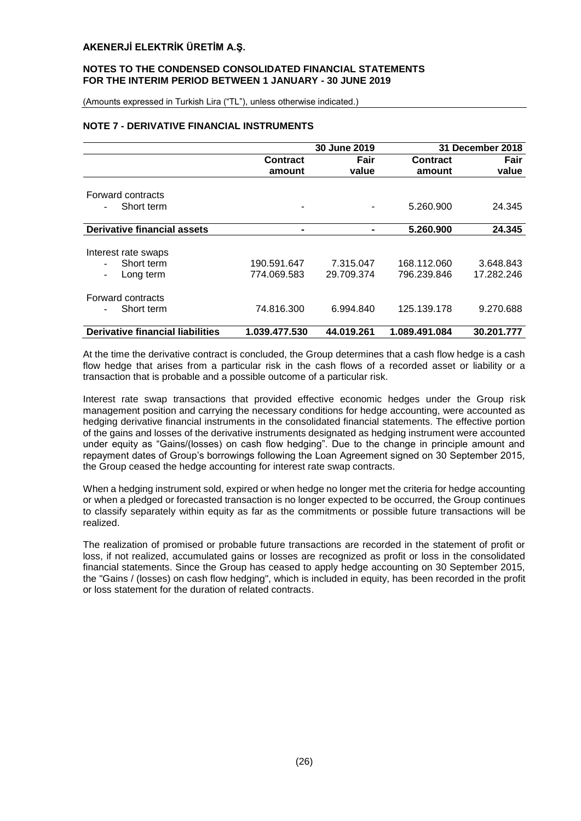#### **NOTES TO THE CONDENSED CONSOLIDATED FINANCIAL STATEMENTS FOR THE INTERIM PERIOD BETWEEN 1 JANUARY - 30 JUNE 2019**

(Amounts expressed in Turkish Lira ("TL"), unless otherwise indicated.)

#### **NOTE 7 - DERIVATIVE FINANCIAL INSTRUMENTS**

|                                         | 30 June 2019    |            |                 | 31 December 2018 |
|-----------------------------------------|-----------------|------------|-----------------|------------------|
|                                         | <b>Contract</b> | Fair       | <b>Contract</b> | Fair             |
|                                         | amount          | value      | amount          | value            |
| Forward contracts                       |                 |            |                 |                  |
| Short term                              |                 |            | 5.260.900       | 24.345           |
| Derivative financial assets             |                 |            | 5.260.900       | 24.345           |
|                                         |                 |            |                 |                  |
| Interest rate swaps                     |                 |            |                 |                  |
| Short term                              | 190.591.647     | 7.315.047  | 168.112.060     | 3.648.843        |
| Long term                               | 774.069.583     | 29.709.374 | 796.239.846     | 17.282.246       |
| Forward contracts                       |                 |            |                 |                  |
| Short term                              | 74.816.300      | 6.994.840  | 125.139.178     | 9.270.688        |
| <b>Derivative financial liabilities</b> | 1.039.477.530   | 44.019.261 | 1.089.491.084   | 30.201.777       |

At the time the derivative contract is concluded, the Group determines that a cash flow hedge is a cash flow hedge that arises from a particular risk in the cash flows of a recorded asset or liability or a transaction that is probable and a possible outcome of a particular risk.

Interest rate swap transactions that provided effective economic hedges under the Group risk management position and carrying the necessary conditions for hedge accounting, were accounted as hedging derivative financial instruments in the consolidated financial statements. The effective portion of the gains and losses of the derivative instruments designated as hedging instrument were accounted under equity as "Gains/(losses) on cash flow hedging". Due to the change in principle amount and repayment dates of Group's borrowings following the Loan Agreement signed on 30 September 2015, the Group ceased the hedge accounting for interest rate swap contracts.

When a hedging instrument sold, expired or when hedge no longer met the criteria for hedge accounting or when a pledged or forecasted transaction is no longer expected to be occurred, the Group continues to classify separately within equity as far as the commitments or possible future transactions will be realized.

The realization of promised or probable future transactions are recorded in the statement of profit or loss, if not realized, accumulated gains or losses are recognized as profit or loss in the consolidated financial statements. Since the Group has ceased to apply hedge accounting on 30 September 2015, the "Gains / (losses) on cash flow hedging", which is included in equity, has been recorded in the profit or loss statement for the duration of related contracts.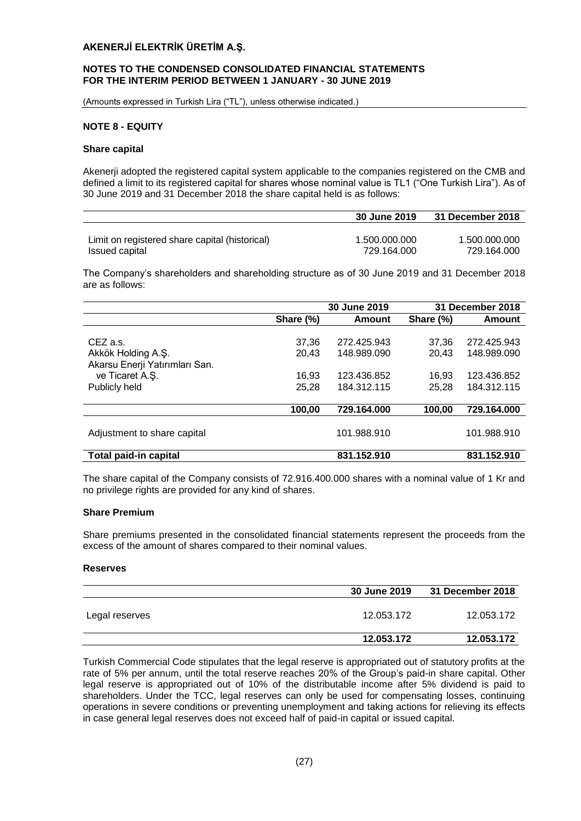#### **NOTES TO THE CONDENSED CONSOLIDATED FINANCIAL STATEMENTS FOR THE INTERIM PERIOD BETWEEN 1 JANUARY - 30 JUNE 2019**

(Amounts expressed in Turkish Lira ("TL"), unless otherwise indicated.)

## **NOTE 8 - EQUITY**

#### **Share capital**

Akenerji adopted the registered capital system applicable to the companies registered on the CMB and defined a limit to its registered capital for shares whose nominal value is TL1 ("One Turkish Lira"). As of 30 June 2019 and 31 December 2018 the share capital held is as follows:

|                                                | 30 June 2019  | 31 December 2018 |
|------------------------------------------------|---------------|------------------|
|                                                |               |                  |
| Limit on registered share capital (historical) | 1.500.000.000 | 1.500.000.000    |
| Issued capital                                 | 729.164.000   | 729.164.000      |

The Company's shareholders and shareholding structure as of 30 June 2019 and 31 December 2018 are as follows:

|                                                                  |                | 30 June 2019               |                | <b>31 December 2018</b>    |
|------------------------------------------------------------------|----------------|----------------------------|----------------|----------------------------|
|                                                                  | Share (%)      | Amount                     | Share (%)      | Amount                     |
| CEZ a.s.<br>Akkök Holding A.Ş.<br>Akarsu Enerji Yatırımları San. | 37,36<br>20.43 | 272.425.943<br>148.989.090 | 37,36<br>20,43 | 272.425.943<br>148.989.090 |
| ve Ticaret A.S.                                                  | 16.93          | 123.436.852                | 16.93          | 123.436.852                |
| Publicly held                                                    | 25,28          | 184.312.115                | 25,28          | 184.312.115                |
|                                                                  | 100.00         | 729.164.000                | 100,00         | 729.164.000                |
| Adjustment to share capital                                      |                | 101.988.910                |                | 101.988.910                |
| <b>Total paid-in capital</b>                                     |                | 831.152.910                |                | 831.152.910                |

The share capital of the Company consists of 72.916.400.000 shares with a nominal value of 1 Kr and no privilege rights are provided for any kind of shares.

#### **Share Premium**

Share premiums presented in the consolidated financial statements represent the proceeds from the excess of the amount of shares compared to their nominal values.

#### **Reserves**

|                | 30 June 2019 | 31 December 2018 |  |
|----------------|--------------|------------------|--|
| Legal reserves | 12.053.172   | 12.053.172       |  |
|                | 12.053.172   | 12.053.172       |  |

Turkish Commercial Code stipulates that the legal reserve is appropriated out of statutory profits at the rate of 5% per annum, until the total reserve reaches 20% of the Group's paid-in share capital. Other legal reserve is appropriated out of 10% of the distributable income after 5% dividend is paid to shareholders. Under the TCC, legal reserves can only be used for compensating losses, continuing operations in severe conditions or preventing unemployment and taking actions for relieving its effects in case general legal reserves does not exceed half of paid-in capital or issued capital.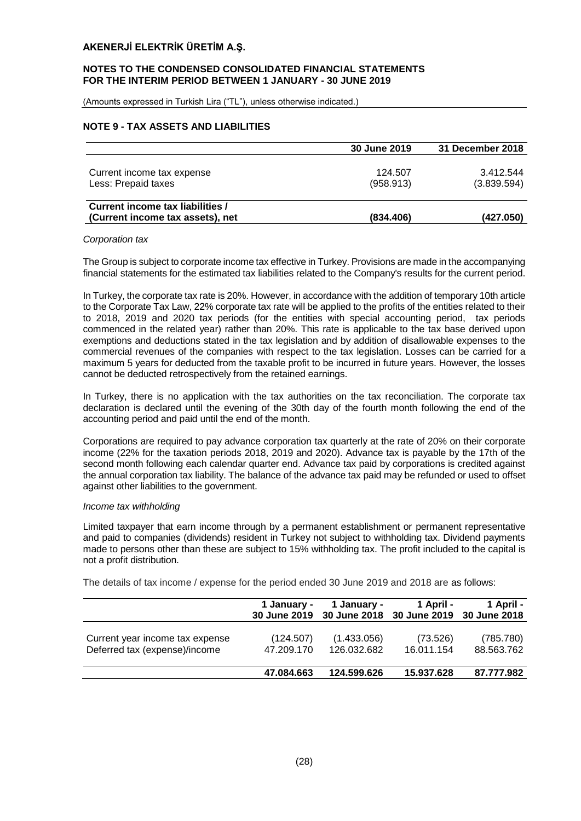#### **NOTES TO THE CONDENSED CONSOLIDATED FINANCIAL STATEMENTS FOR THE INTERIM PERIOD BETWEEN 1 JANUARY - 30 JUNE 2019**

(Amounts expressed in Turkish Lira ("TL"), unless otherwise indicated.)

#### **NOTE 9 - TAX ASSETS AND LIABILITIES**

|                                                                      | 30 June 2019         | 31 December 2018         |
|----------------------------------------------------------------------|----------------------|--------------------------|
| Current income tax expense<br>Less: Prepaid taxes                    | 124.507<br>(958.913) | 3.412.544<br>(3.839.594) |
| Current income tax liabilities /<br>(Current income tax assets), net | (834.406)            | (427.050)                |

#### *Corporation tax*

The Group is subject to corporate income tax effective in Turkey. Provisions are made in the accompanying financial statements for the estimated tax liabilities related to the Company's results for the current period.

In Turkey, the corporate tax rate is 20%. However, in accordance with the addition of temporary 10th article to the Corporate Tax Law, 22% corporate tax rate will be applied to the profits of the entities related to their to 2018, 2019 and 2020 tax periods (for the entities with special accounting period, tax periods commenced in the related year) rather than 20%. This rate is applicable to the tax base derived upon exemptions and deductions stated in the tax legislation and by addition of disallowable expenses to the commercial revenues of the companies with respect to the tax legislation. Losses can be carried for a maximum 5 years for deducted from the taxable profit to be incurred in future years. However, the losses cannot be deducted retrospectively from the retained earnings.

In Turkey, there is no application with the tax authorities on the tax reconciliation. The corporate tax declaration is declared until the evening of the 30th day of the fourth month following the end of the accounting period and paid until the end of the month.

Corporations are required to pay advance corporation tax quarterly at the rate of 20% on their corporate income (22% for the taxation periods 2018, 2019 and 2020). Advance tax is payable by the 17th of the second month following each calendar quarter end. Advance tax paid by corporations is credited against the annual corporation tax liability. The balance of the advance tax paid may be refunded or used to offset against other liabilities to the government.

#### *Income tax withholding*

Limited taxpayer that earn income through by a permanent establishment or permanent representative and paid to companies (dividends) resident in Turkey not subject to withholding tax. Dividend payments made to persons other than these are subject to 15% withholding tax. The profit included to the capital is not a profit distribution.

The details of tax income / expense for the period ended 30 June 2019 and 2018 are as follows:

|                                                                  | 1 January -<br><b>30 June 2019</b> | 1 Januarv -                | 1 April -<br>30 June 2018 30 June 2019 30 June 2018 | 1 April -               |
|------------------------------------------------------------------|------------------------------------|----------------------------|-----------------------------------------------------|-------------------------|
| Current year income tax expense<br>Deferred tax (expense)/income | (124.507)<br>47.209.170            | (1.433.056)<br>126.032.682 | (73.526)<br>16.011.154                              | (785.780)<br>88.563.762 |
|                                                                  | 47.084.663                         | 124.599.626                | 15.937.628                                          | 87.777.982              |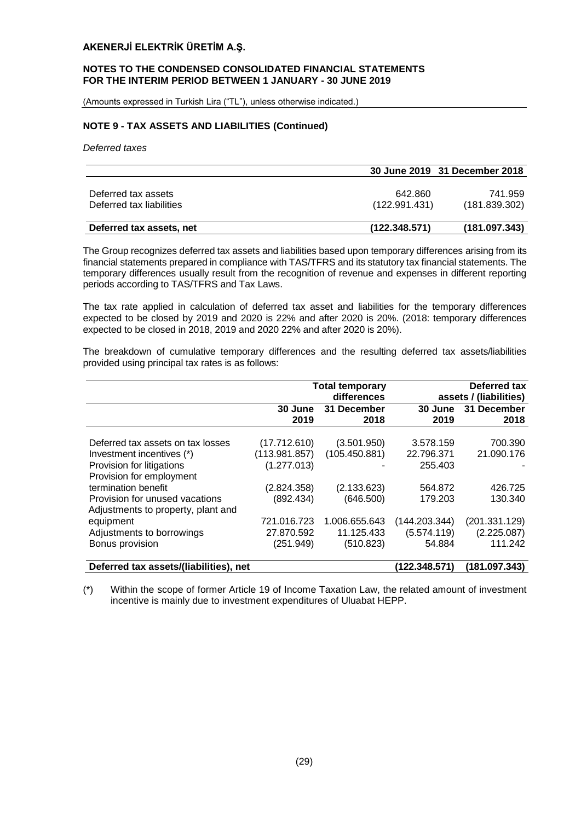#### **NOTES TO THE CONDENSED CONSOLIDATED FINANCIAL STATEMENTS FOR THE INTERIM PERIOD BETWEEN 1 JANUARY - 30 JUNE 2019**

(Amounts expressed in Turkish Lira ("TL"), unless otherwise indicated.)

#### **NOTE 9 - TAX ASSETS AND LIABILITIES (Continued)**

*Deferred taxes*

|                          |               | 30 June 2019 31 December 2018 |
|--------------------------|---------------|-------------------------------|
|                          |               |                               |
| Deferred tax assets      | 642.860       | 741.959                       |
| Deferred tax liabilities | (122.991.431) | (181.839.302)                 |
|                          |               |                               |
| Deferred tax assets, net | (122.348.571) | (181.097.343)                 |

The Group recognizes deferred tax assets and liabilities based upon temporary differences arising from its financial statements prepared in compliance with TAS/TFRS and its statutory tax financial statements. The temporary differences usually result from the recognition of revenue and expenses in different reporting periods according to TAS/TFRS and Tax Laws.

The tax rate applied in calculation of deferred tax asset and liabilities for the temporary differences expected to be closed by 2019 and 2020 is 22% and after 2020 is 20%. (2018: temporary differences expected to be closed in 2018, 2019 and 2020 22% and after 2020 is 20%).

The breakdown of cumulative temporary differences and the resulting deferred tax assets/liabilities provided using principal tax rates is as follows:

|                                                                                             |                                              | <b>Total temporary</b><br>differences |                                    | Deferred tax<br>assets / (liabilities) |
|---------------------------------------------------------------------------------------------|----------------------------------------------|---------------------------------------|------------------------------------|----------------------------------------|
|                                                                                             | 30 June<br>2019                              | 31 December<br>2018                   | 30 June<br>2019                    | 31 December<br>2018                    |
| Deferred tax assets on tax losses<br>Investment incentives (*)<br>Provision for litigations | (17.712.610)<br>(113.981.857)<br>(1.277.013) | (3.501.950)<br>(105.450.881)          | 3.578.159<br>22.796.371<br>255.403 | 700.390<br>21.090.176                  |
| Provision for employment<br>termination benefit                                             | (2.824.358)                                  | (2.133.623)                           | 564.872                            | 426.725                                |
| Provision for unused vacations<br>Adjustments to property, plant and                        | (892.434)                                    | (646.500)                             | 179.203                            | 130.340                                |
| equipment<br>Adjustments to borrowings                                                      | 721.016.723<br>27.870.592                    | 1.006.655.643<br>11.125.433           | (144.203.344)<br>(5.574.119)       | (201.331.129)<br>(2.225.087)           |
| Bonus provision                                                                             | (251.949)                                    | (510.823)                             | 54.884                             | 111.242                                |
| Deferred tax assets/(liabilities), net                                                      |                                              |                                       | (122.348.571)                      | (181.097.343)                          |

(\*) Within the scope of former Article 19 of Income Taxation Law, the related amount of investment incentive is mainly due to investment expenditures of Uluabat HEPP.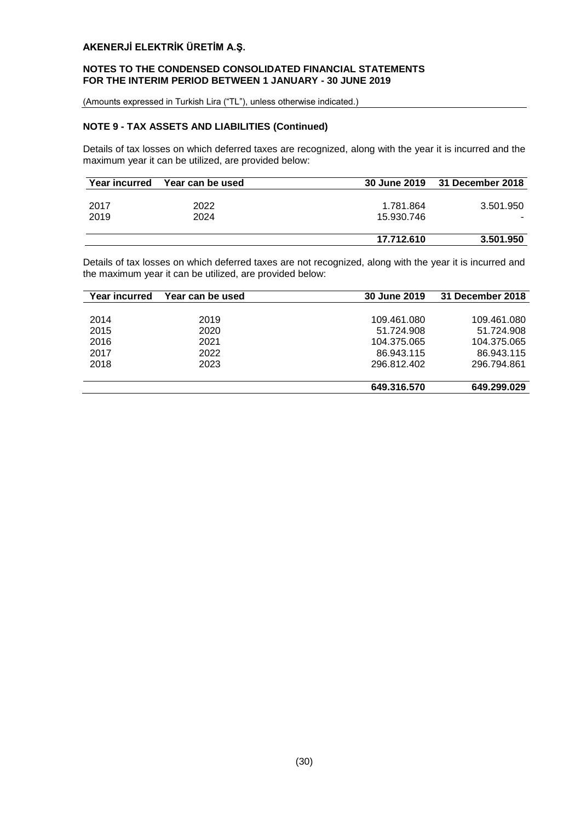## **NOTES TO THE CONDENSED CONSOLIDATED FINANCIAL STATEMENTS FOR THE INTERIM PERIOD BETWEEN 1 JANUARY - 30 JUNE 2019**

(Amounts expressed in Turkish Lira ("TL"), unless otherwise indicated.)

## **NOTE 9 - TAX ASSETS AND LIABILITIES (Continued)**

Details of tax losses on which deferred taxes are recognized, along with the year it is incurred and the maximum year it can be utilized, are provided below:

| <b>Year incurred</b> | Year can be used |            | 30 June 2019 31 December 2018 |
|----------------------|------------------|------------|-------------------------------|
|                      |                  |            |                               |
| 2017                 | 2022             | 1.781.864  | 3.501.950                     |
| 2019                 | 2024             | 15.930.746 |                               |
|                      |                  |            |                               |
|                      |                  | 17.712.610 | 3.501.950                     |

Details of tax losses on which deferred taxes are not recognized, along with the year it is incurred and the maximum year it can be utilized, are provided below:

| Year incurred | Year can be used | 30 June 2019 | 31 December 2018 |
|---------------|------------------|--------------|------------------|
|               |                  |              |                  |
| 2014          | 2019             | 109.461.080  | 109.461.080      |
| 2015          | 2020             | 51.724.908   | 51.724.908       |
| 2016          | 2021             | 104.375.065  | 104.375.065      |
| 2017          | 2022             | 86.943.115   | 86.943.115       |
| 2018          | 2023             | 296.812.402  | 296.794.861      |
|               |                  |              |                  |
|               |                  | 649.316.570  | 649.299.029      |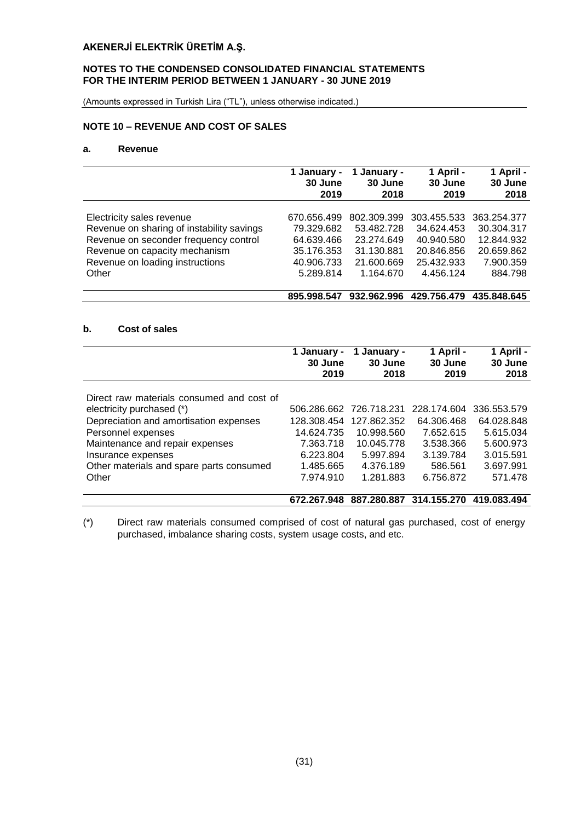## **NOTES TO THE CONDENSED CONSOLIDATED FINANCIAL STATEMENTS FOR THE INTERIM PERIOD BETWEEN 1 JANUARY - 30 JUNE 2019**

(Amounts expressed in Turkish Lira ("TL"), unless otherwise indicated.)

## **NOTE 10 – REVENUE AND COST OF SALES**

## **a. Revenue**

|                                           | 1 January - | January -   | 1 April -   | 1 April -   |
|-------------------------------------------|-------------|-------------|-------------|-------------|
|                                           | 30 June     | 30 June     | 30 June     | 30 June     |
|                                           | 2019        | 2018        | 2019        | 2018        |
| Electricity sales revenue                 | 670.656.499 | 802.309.399 | 303.455.533 | 363.254.377 |
| Revenue on sharing of instability savings | 79.329.682  | 53.482.728  | 34.624.453  | 30.304.317  |
| Revenue on seconder frequency control     | 64.639.466  | 23.274.649  | 40.940.580  | 12.844.932  |
| Revenue on capacity mechanism             | 35.176.353  | 31.130.881  | 20.846.856  | 20.659.862  |
| Revenue on loading instructions           | 40.906.733  | 21.600.669  | 25.432.933  | 7.900.359   |
| Other                                     | 5.289.814   | 1.164.670   | 4.456.124   | 884.798     |
|                                           | 895.998.547 | 932.962.996 | 429.756.479 | 435.848.645 |

## **b. Cost of sales**

|                                           | 1 January -<br>30 June<br>2019 | January -<br>1<br>30 June<br>2018 | 1 April -<br>30 June<br>2019 | 1 April -<br>30 June<br>2018 |
|-------------------------------------------|--------------------------------|-----------------------------------|------------------------------|------------------------------|
| Direct raw materials consumed and cost of |                                |                                   |                              |                              |
| electricity purchased (*)                 | 506.286.662                    | 726.718.231                       | 228.174.604                  | 336.553.579                  |
| Depreciation and amortisation expenses    | 128.308.454                    | 127.862.352                       | 64.306.468                   | 64.028.848                   |
| Personnel expenses                        | 14.624.735                     | 10.998.560                        | 7.652.615                    | 5.615.034                    |
| Maintenance and repair expenses           | 7.363.718                      | 10.045.778                        | 3.538.366                    | 5.600.973                    |
| Insurance expenses                        | 6.223.804                      | 5.997.894                         | 3.139.784                    | 3.015.591                    |
| Other materials and spare parts consumed  | 1.485.665                      | 4.376.189                         | 586.561                      | 3.697.991                    |
| Other                                     | 7.974.910                      | 1.281.883                         | 6.756.872                    | 571.478                      |
|                                           | 672.267.948                    | 887.280.887                       | 314.155.270                  | 419.083.494                  |

(\*) Direct raw materials consumed comprised of cost of natural gas purchased, cost of energy purchased, imbalance sharing costs, system usage costs, and etc.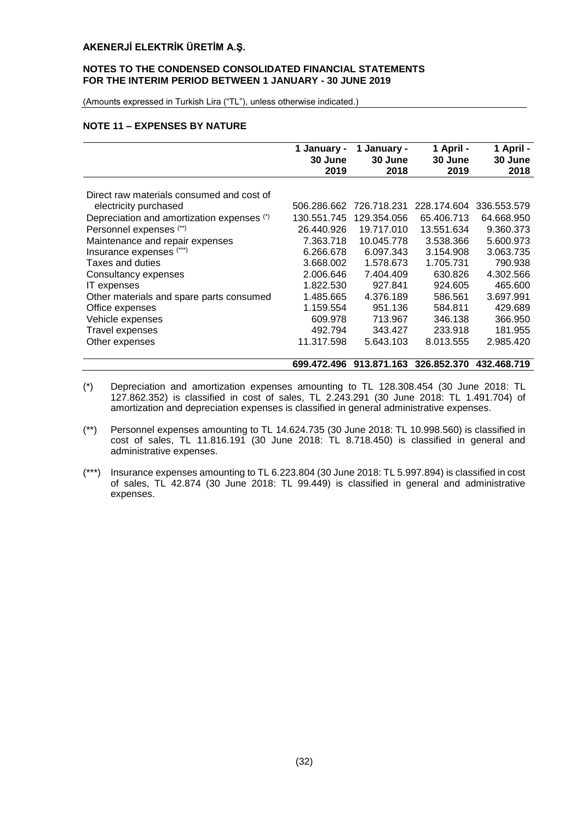#### **NOTES TO THE CONDENSED CONSOLIDATED FINANCIAL STATEMENTS FOR THE INTERIM PERIOD BETWEEN 1 JANUARY - 30 JUNE 2019**

(Amounts expressed in Turkish Lira ("TL"), unless otherwise indicated.)

#### **NOTE 11 – EXPENSES BY NATURE**

|                                            | 1 January -<br>30 June | 1 January -<br>30 June | 1 April -<br>30 June | 1 April -<br>30 June |
|--------------------------------------------|------------------------|------------------------|----------------------|----------------------|
|                                            | 2019                   | 2018                   | 2019                 | 2018                 |
| Direct raw materials consumed and cost of  |                        |                        |                      |                      |
| electricity purchased                      | 506.286.662            | 726.718.231            | 228.174.604          | 336.553.579          |
| Depreciation and amortization expenses (*) | 130.551.745            | 129.354.056            | 65.406.713           | 64.668.950           |
| Personnel expenses (**)                    | 26.440.926             | 19.717.010             | 13.551.634           | 9.360.373            |
| Maintenance and repair expenses            | 7.363.718              | 10.045.778             | 3.538.366            | 5.600.973            |
| Insurance expenses (***)                   | 6.266.678              | 6.097.343              | 3.154.908            | 3.063.735            |
| Taxes and duties                           | 3.668.002              | 1.578.673              | 1.705.731            | 790.938              |
| Consultancy expenses                       | 2.006.646              | 7.404.409              | 630.826              | 4.302.566            |
| <b>IT</b> expenses                         | 1.822.530              | 927.841                | 924.605              | 465.600              |
| Other materials and spare parts consumed   | 1.485.665              | 4.376.189              | 586.561              | 3.697.991            |
| Office expenses                            | 1.159.554              | 951.136                | 584.811              | 429.689              |
| Vehicle expenses                           | 609.978                | 713.967                | 346.138              | 366.950              |
| <b>Travel expenses</b>                     | 492.794                | 343.427                | 233.918              | 181.955              |
| Other expenses                             | 11.317.598             | 5.643.103              | 8.013.555            | 2.985.420            |

#### **699.472.496 913.871.163 326.852.370 432.468.719**

- (\*) Depreciation and amortization expenses amounting to TL 128.308.454 (30 June 2018: TL 127.862.352) is classified in cost of sales, TL 2.243.291 (30 June 2018: TL 1.491.704) of amortization and depreciation expenses is classified in general administrative expenses.
- (\*\*) Personnel expenses amounting to TL 14.624.735 (30 June 2018: TL 10.998.560) is classified in cost of sales, TL 11.816.191 (30 June 2018: TL 8.718.450) is classified in general and administrative expenses.
- (\*\*\*) Insurance expenses amounting to TL 6.223.804 (30 June 2018: TL 5.997.894) is classified in cost of sales, TL 42.874 (30 June 2018: TL 99.449) is classified in general and administrative expenses.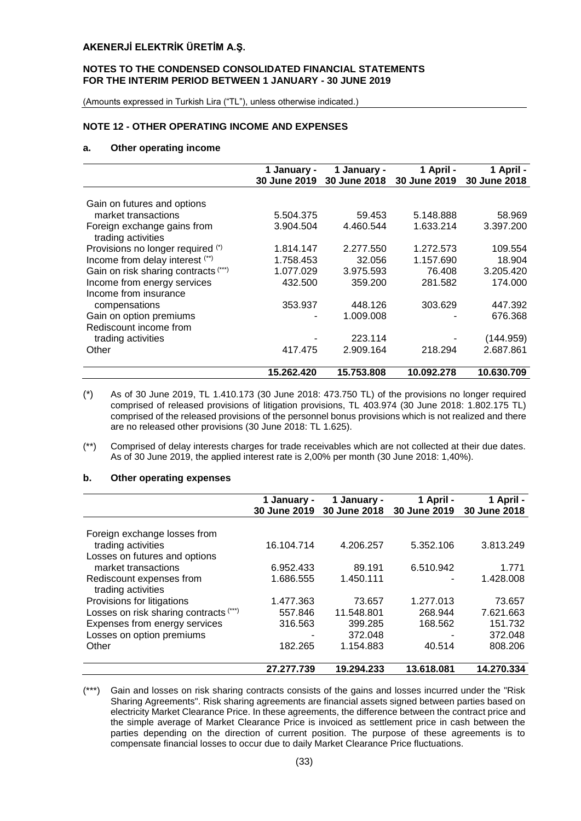#### **NOTES TO THE CONDENSED CONSOLIDATED FINANCIAL STATEMENTS FOR THE INTERIM PERIOD BETWEEN 1 JANUARY - 30 JUNE 2019**

(Amounts expressed in Turkish Lira ("TL"), unless otherwise indicated.)

#### **NOTE 12 - OTHER OPERATING INCOME AND EXPENSES**

#### **a. Other operating income**

|                                      | 1 January -  | 1 January -  | 1 April -    | 1 April -    |
|--------------------------------------|--------------|--------------|--------------|--------------|
|                                      | 30 June 2019 | 30 June 2018 | 30 June 2019 | 30 June 2018 |
|                                      |              |              |              |              |
| Gain on futures and options          |              |              |              |              |
| market transactions                  | 5.504.375    | 59.453       | 5.148.888    | 58.969       |
| Foreign exchange gains from          | 3.904.504    | 4.460.544    | 1.633.214    | 3.397.200    |
| trading activities                   |              |              |              |              |
| Provisions no longer required (*)    | 1.814.147    | 2.277.550    | 1.272.573    | 109.554      |
| Income from delay interest (**)      | 1.758.453    | 32.056       | 1.157.690    | 18.904       |
| Gain on risk sharing contracts (***) | 1.077.029    | 3.975.593    | 76.408       | 3.205.420    |
| Income from energy services          | 432.500      | 359,200      | 281.582      | 174.000      |
| Income from insurance                |              |              |              |              |
| compensations                        | 353.937      | 448.126      | 303.629      | 447.392      |
| Gain on option premiums              |              | 1.009.008    |              | 676.368      |
| Rediscount income from               |              |              |              |              |
| trading activities                   |              | 223.114      |              | (144.959)    |
| Other                                | 417.475      | 2.909.164    | 218.294      | 2.687.861    |
|                                      |              |              |              |              |
|                                      | 15.262.420   | 15.753.808   | 10.092.278   | 10.630.709   |

- (\*) As of 30 June 2019, TL 1.410.173 (30 June 2018: 473.750 TL) of the provisions no longer required comprised of released provisions of litigation provisions, TL 403.974 (30 June 2018: 1.802.175 TL) comprised of the released provisions of the personnel bonus provisions which is not realized and there are no released other provisions (30 June 2018: TL 1.625).
- (\*\*) Comprised of delay interests charges for trade receivables which are not collected at their due dates. As of 30 June 2019, the applied interest rate is 2,00% per month (30 June 2018: 1,40%).

#### **b. Other operating expenses**

|                                                    | 1 January -<br>30 June 2019 | 1 January -<br>30 June 2018 | 1 April -<br>30 June 2019 | 1 April -<br>30 June 2018 |
|----------------------------------------------------|-----------------------------|-----------------------------|---------------------------|---------------------------|
|                                                    |                             |                             |                           |                           |
| Foreign exchange losses from<br>trading activities | 16.104.714                  | 4.206.257                   | 5.352.106                 | 3.813.249                 |
| Losses on futures and options                      |                             |                             |                           |                           |
| market transactions                                | 6.952.433                   | 89.191                      | 6.510.942                 | 1.771                     |
| Rediscount expenses from<br>trading activities     | 1.686.555                   | 1.450.111                   |                           | 1.428.008                 |
| Provisions for litigations                         | 1.477.363                   | 73.657                      | 1.277.013                 | 73.657                    |
| Losses on risk sharing contracts (***)             | 557.846                     | 11.548.801                  | 268.944                   | 7.621.663                 |
| Expenses from energy services                      | 316.563                     | 399.285                     | 168.562                   | 151.732                   |
| Losses on option premiums                          |                             | 372.048                     |                           | 372.048                   |
| Other                                              | 182.265                     | 1.154.883                   | 40.514                    | 808.206                   |
|                                                    | 27.277.739                  | 19.294.233                  | 13.618.081                | 14.270.334                |

(\*\*\*) Gain and losses on risk sharing contracts consists of the gains and losses incurred under the "Risk Sharing Agreements". Risk sharing agreements are financial assets signed between parties based on electricity Market Clearance Price. In these agreements, the difference between the contract price and the simple average of Market Clearance Price is invoiced as settlement price in cash between the parties depending on the direction of current position. The purpose of these agreements is to compensate financial losses to occur due to daily Market Clearance Price fluctuations.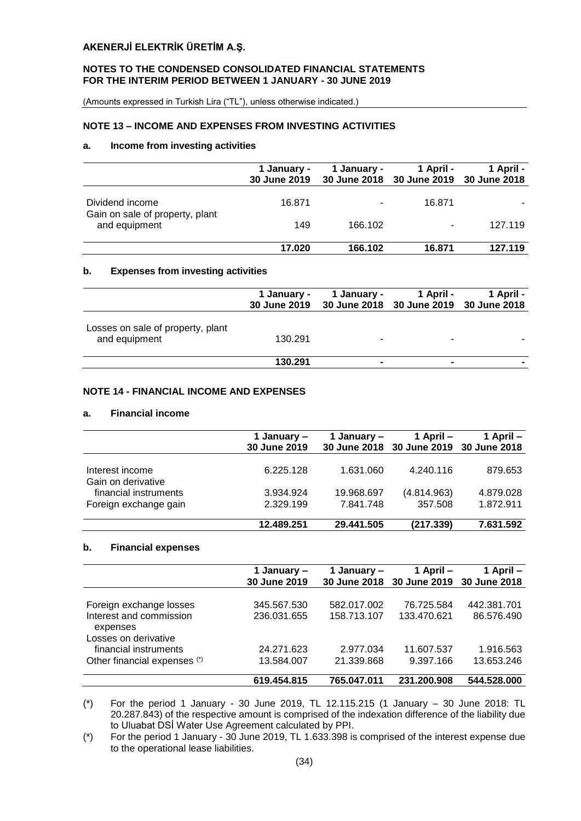#### **NOTES TO THE CONDENSED CONSOLIDATED FINANCIAL STATEMENTS FOR THE INTERIM PERIOD BETWEEN 1 JANUARY - 30 JUNE 2019**

(Amounts expressed in Turkish Lira ("TL"), unless otherwise indicated.)

#### **NOTE 13 – INCOME AND EXPENSES FROM INVESTING ACTIVITIES**

#### **a. Income from investing activities**

|                                                  | 1 January -<br>30 June 2019 | 1 January - | 1 April -<br>30 June 2018 30 June 2019 30 June 2018 | 1 April - |
|--------------------------------------------------|-----------------------------|-------------|-----------------------------------------------------|-----------|
| Dividend income                                  | 16.871                      | ۰           | 16.871                                              |           |
| Gain on sale of property, plant<br>and equipment | 149                         | 166.102     |                                                     | 127.119   |
|                                                  | 17.020                      | 166.102     | 16.871                                              | 127.119   |

#### **b. Expenses from investing activities**

|                                                    | 1 January - | 1 January -<br>30 June 2019 30 June 2018 30 June 2019 30 June 2018 | 1 April - | 1 April - |
|----------------------------------------------------|-------------|--------------------------------------------------------------------|-----------|-----------|
| Losses on sale of property, plant<br>and equipment | 130.291     |                                                                    |           |           |
|                                                    | 130.291     |                                                                    |           |           |

## **NOTE 14 - FINANCIAL INCOME AND EXPENSES**

#### **a. Financial income**

|                       | 1 January –<br>30 June 2019 | 1 January – | 1 April –<br>30 June 2018 30 June 2019 30 June 2018 | 1 April $-$ |
|-----------------------|-----------------------------|-------------|-----------------------------------------------------|-------------|
| Interest income       | 6.225.128                   | 1.631.060   | 4.240.116                                           | 879.653     |
| Gain on derivative    |                             |             |                                                     |             |
| financial instruments | 3.934.924                   | 19.968.697  | (4.814.963)                                         | 4.879.028   |
| Foreign exchange gain | 2.329.199                   | 7.841.748   | 357.508                                             | 1.872.911   |
|                       | 12.489.251                  | 29.441.505  | (217.339)                                           | 7.631.592   |

#### **b. Financial expenses**

|                                     | 1 January –<br>30 June 2019 | 1 January – | 1 April –<br>30 June 2018 30 June 2019 30 June 2018 | 1 April –   |
|-------------------------------------|-----------------------------|-------------|-----------------------------------------------------|-------------|
|                                     |                             |             |                                                     |             |
| Foreign exchange losses             | 345.567.530                 | 582.017.002 | 76.725.584                                          | 442.381.701 |
| Interest and commission<br>expenses | 236.031.655                 | 158.713.107 | 133.470.621                                         | 86.576.490  |
| Losses on derivative                |                             |             |                                                     |             |
| financial instruments               | 24.271.623                  | 2.977.034   | 11.607.537                                          | 1.916.563   |
| Other financial expenses (*)        | 13.584.007                  | 21.339.868  | 9.397.166                                           | 13.653.246  |
|                                     | 619.454.815                 | 765.047.011 | 231.200.908                                         | 544.528.000 |

(\*) For the period 1 January - 30 June 2019, TL 12.115.215 (1 January – 30 June 2018: TL 20.287.843) of the respective amount is comprised of the indexation difference of the liability due to Uluabat DSİ Water Use Agreement calculated by PPI.

(\*) For the period 1 January - 30 June 2019, TL 1.633.398 is comprised of the interest expense due to the operational lease liabilities.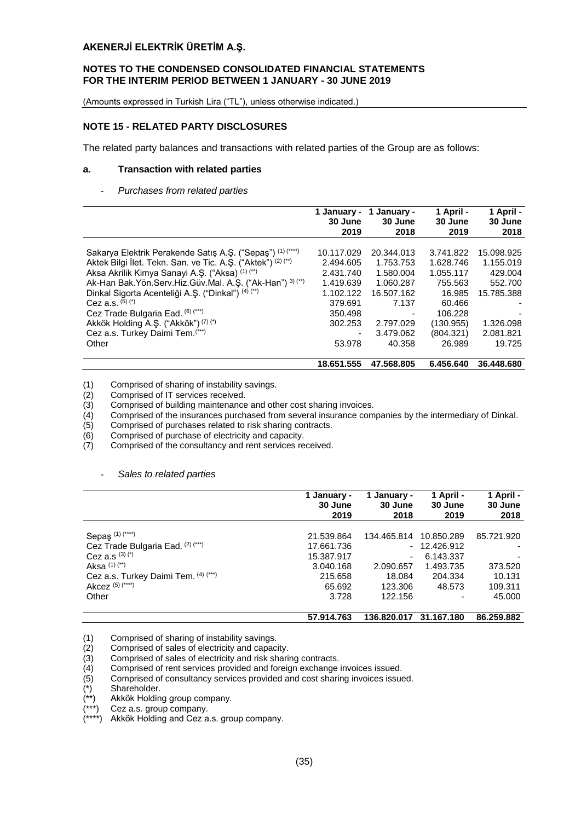#### **NOTES TO THE CONDENSED CONSOLIDATED FINANCIAL STATEMENTS FOR THE INTERIM PERIOD BETWEEN 1 JANUARY - 30 JUNE 2019**

(Amounts expressed in Turkish Lira ("TL"), unless otherwise indicated.)

## **NOTE 15 - RELATED PARTY DISCLOSURES**

The related party balances and transactions with related parties of the Group are as follows:

#### **a. Transaction with related parties**

#### - *Purchases from related parties*

|                                                                | 1 January - | 1 January - | 1 April - | 1 April -  |
|----------------------------------------------------------------|-------------|-------------|-----------|------------|
|                                                                | 30 June     | 30 June     | 30 June   | 30 June    |
|                                                                | 2019        | 2018        | 2019      | 2018       |
|                                                                |             |             |           |            |
| Sakarya Elektrik Perakende Satış A.Ş. ("Sepaş") (1) (****)     | 10.117.029  | 20.344.013  | 3.741.822 | 15.098.925 |
| Aktek Bilgi İlet. Tekn. San. ve Tic. A.Ş. ("Aktek") (2) (**)   | 2.494.605   | 1.753.753   | 1.628.746 | 1.155.019  |
| Aksa Akrilik Kimya Sanayi A.Ş. ("Aksa) (1) (**)                | 2.431.740   | 1.580.004   | 1.055.117 | 429.004    |
| Ak-Han Bak. Yön. Serv. Hiz. Güv. Mal. A. Ş. ("Ak-Han") 3) (**) | 1.419.639   | 1.060.287   | 755.563   | 552.700    |
| Dinkal Sigorta Acenteliği A.S. ("Dinkal") (4) (**)             | 1.102.122   | 16.507.162  | 16.985    | 15.785.388 |
| Cez a.s. $(5)(*)$                                              | 379.691     | 7.137       | 60.466    |            |
| Cez Trade Bulgaria Ead. (6) (***)                              | 350.498     |             | 106.228   |            |
| Akkök Holding A.Ş. ("Akkök") (7) (*)                           | 302.253     | 2.797.029   | (130.955) | 1.326.098  |
| Cez a.s. Turkey Daimi Tem.(***)                                | ۰           | 3.479.062   | (804.321) | 2.081.821  |
| Other                                                          | 53.978      | 40.358      | 26.989    | 19.725     |
|                                                                | 18.651.555  | 47.568.805  | 6.456.640 | 36.448.680 |

Comprised of IT services received.

(1) Comprised of sharing of instability savings.<br>
(2) Comprised of IT services received.<br>
(3) Comprised of building maintenance and ott<br>
(4) Comprised of the insurances purchased fro Comprised of building maintenance and other cost sharing invoices.

- (4) Comprised of the insurances purchased from several insurance companies by the intermediary of Dinkal.<br>(5) Comprised of purchases related to risk sharing contracts.
- (5) Comprised of purchases related to risk sharing contracts.
- Comprised of purchase of electricity and capacity.
- (7) Comprised of the consultancy and rent services received.

#### - *Sales to related parties*

|                                      | 1 January -<br>30 June | 1 January -<br>30 June | 1 April -<br>30 June | 1 April -<br>30 June |
|--------------------------------------|------------------------|------------------------|----------------------|----------------------|
|                                      | 2019                   | 2018                   | 2019                 | 2018                 |
| Sepaş <sup>(1)(****)</sup>           | 21.539.864             | 134.465.814            | 10.850.289           | 85.721.920           |
| Cez Trade Bulgaria Ead. (2) (***)    | 17.661.736             |                        | $-12.426.912$        |                      |
| Cez a.s $(3)(*)$                     | 15.387.917             | ۰                      | 6.143.337            |                      |
| Aksa $(1)$ $(*)$                     | 3.040.168              | 2.090.657              | 1.493.735            | 373.520              |
| Cez a.s. Turkey Daimi Tem. (4) (***) | 215.658                | 18.084                 | 204.334              | 10.131               |
| Akcez (5) (****)                     | 65.692                 | 123.306                | 48.573               | 109.311              |
| Other                                | 3.728                  | 122.156                | ٠                    | 45,000               |
|                                      | 57.914.763             | 136.820.017            | 31.167.180           | 86.259.882           |

- (1) Comprised of sharing of instability savings.<br>(2) Comprised of sales of electricity and capaci
- (2) Comprised of sales of electricity and capacity. (3) Comprised of sales of electricity and risk sharing contracts.<br>
(4) Comprised of rent services provided and foreign exchange<br>
(5) Comprised of consultancy services provided and cost sharing

Comprised of rent services provided and foreign exchange invoices issued.

Comprised of consultancy services provided and cost sharing invoices issued.

(\*) Shareholder.

Akkök Holding group company.

Cez a.s. group company.

Akkök Holding and Cez a.s. group company.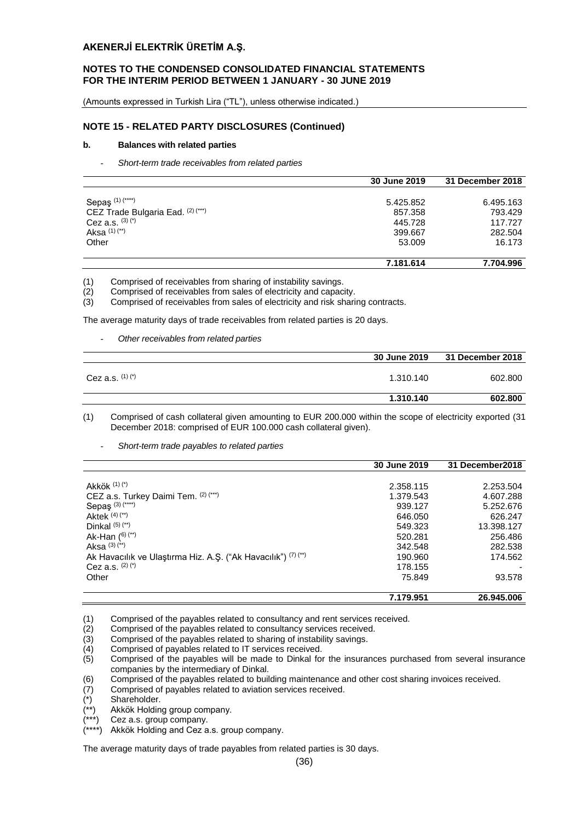## **NOTES TO THE CONDENSED CONSOLIDATED FINANCIAL STATEMENTS FOR THE INTERIM PERIOD BETWEEN 1 JANUARY - 30 JUNE 2019**

(Amounts expressed in Turkish Lira ("TL"), unless otherwise indicated.)

#### **NOTE 15 - RELATED PARTY DISCLOSURES (Continued)**

#### **b. Balances with related parties**

- *Short-term trade receivables from related parties*

|                                   | 30 June 2019 | 31 December 2018 |
|-----------------------------------|--------------|------------------|
|                                   |              |                  |
| Sepaş <sup>(1)(****)</sup>        | 5.425.852    | 6.495.163        |
| CEZ Trade Bulgaria Ead. (2) (***) | 857.358      | 793.429          |
| Cez a.s. $(3)(*)$                 | 445.728      | 117.727          |
| Aksa $(1)$ $(*)$                  | 399.667      | 282.504          |
| Other                             | 53,009       | 16.173           |
|                                   |              |                  |
|                                   | 7.181.614    | 7.704.996        |

(1) Comprised of receivables from sharing of instability savings.

- 
- (2) Comprised of receivables from sales of electricity and capacity.<br>
(3) Comprised of receivables from sales of electricity and risk shari Comprised of receivables from sales of electricity and risk sharing contracts.

The average maturity days of trade receivables from related parties is 20 days.

- *Other receivables from related parties*

|                   | <b>30 June 2019</b> | 31 December 2018 |
|-------------------|---------------------|------------------|
| Cez a.s. $(1)(*)$ | 1.310.140           | 602,800          |
|                   | 1.310.140           | 602.800          |

- (1) Comprised of cash collateral given amounting to EUR 200.000 within the scope of electricity exported (31 December 2018: comprised of EUR 100.000 cash collateral given).
	- *Short-term trade payables to related parties*

|                                                               | 30 June 2019 | 31 December 2018 |
|---------------------------------------------------------------|--------------|------------------|
|                                                               |              |                  |
| Akkök (1) (*)                                                 | 2.358.115    | 2.253.504        |
| CEZ a.s. Turkey Daimi Tem. (2) (***)                          | 1.379.543    | 4.607.288        |
| Sepaş $(3)$ $(***)$                                           | 939.127      | 5.252.676        |
| Aktek $(4)$ $(*)$                                             | 646.050      | 626.247          |
| Dinkal $(5)$ $(*)$                                            | 549.323      | 13.398.127       |
| Ak-Han $(6)$ $(*)$                                            | 520.281      | 256.486          |
| Aksa $(3)$ $(*)$                                              | 342.548      | 282.538          |
| Ak Havacılık ve Ulaştırma Hiz. A.Ş. ("Ak Havacılık") (7) (**) | 190.960      | 174.562          |
| Cez a.s. $(2)$ $(*)$                                          | 178.155      |                  |
| Other                                                         | 75.849       | 93.578           |
|                                                               | 7.179.951    | 26.945.006       |

- (1) Comprised of the payables related to consultancy and rent services received.<br>
(2) Comprised of the payables related to sharing of instability savings.<br>
(3) Comprised of the payables related to sharing of instability sa
- Comprised of the payables related to consultancy services received.
- Comprised of the payables related to sharing of instability savings.
- (4) Comprised of payables related to IT services received.
- (5) Comprised of the payables will be made to Dinkal for the insurances purchased from several insurance companies by the intermediary of Dinkal.
- (6) Comprised of the payables related to building maintenance and other cost sharing invoices received.
- (7) Comprised of payables related to aviation services received.
- (\*) Shareholder.
- Akkök Holding group company.
- Cez a.s. group company.
- Akkök Holding and Cez a.s. group company.

The average maturity days of trade payables from related parties is 30 days.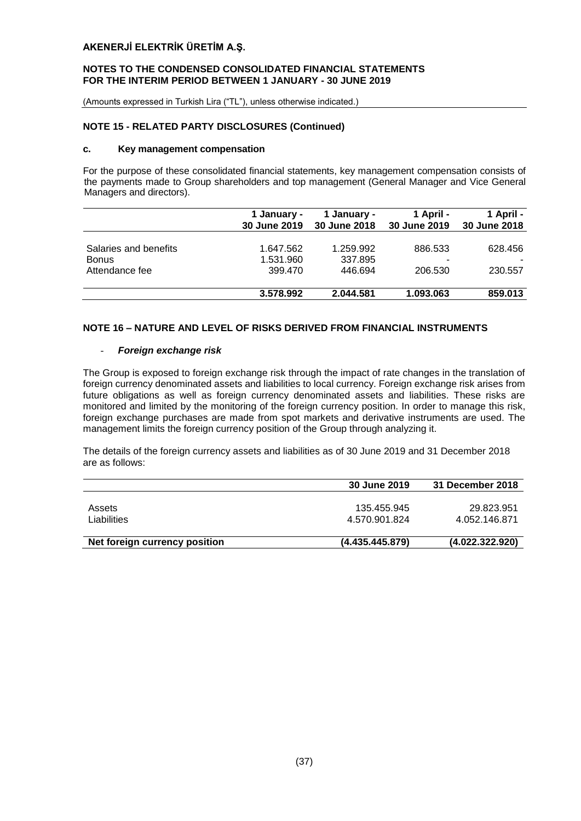#### **NOTES TO THE CONDENSED CONSOLIDATED FINANCIAL STATEMENTS FOR THE INTERIM PERIOD BETWEEN 1 JANUARY - 30 JUNE 2019**

(Amounts expressed in Turkish Lira ("TL"), unless otherwise indicated.)

## **NOTE 15 - RELATED PARTY DISCLOSURES (Continued)**

#### **c. Key management compensation**

For the purpose of these consolidated financial statements, key management compensation consists of the payments made to Group shareholders and top management (General Manager and Vice General Managers and directors).

|                       | 1 January -<br>30 June 2019 | 1 January -<br>30 June 2018 | 1 April -<br>30 June 2019 | 1 April -<br>30 June 2018 |
|-----------------------|-----------------------------|-----------------------------|---------------------------|---------------------------|
| Salaries and benefits | 1.647.562                   | 1.259.992                   | 886.533                   | 628.456                   |
| <b>Bonus</b>          | 1.531.960                   | 337.895                     | -                         |                           |
| Attendance fee        | 399.470                     | 446.694                     | 206.530                   | 230.557                   |
|                       | 3.578.992                   | 2.044.581                   | 1.093.063                 | 859.013                   |

## **NOTE 16 – NATURE AND LEVEL OF RISKS DERIVED FROM FINANCIAL INSTRUMENTS**

#### - *Foreign exchange risk*

The Group is exposed to foreign exchange risk through the impact of rate changes in the translation of foreign currency denominated assets and liabilities to local currency. Foreign exchange risk arises from future obligations as well as foreign currency denominated assets and liabilities. These risks are monitored and limited by the monitoring of the foreign currency position. In order to manage this risk, foreign exchange purchases are made from spot markets and derivative instruments are used. The management limits the foreign currency position of the Group through analyzing it.

The details of the foreign currency assets and liabilities as of 30 June 2019 and 31 December 2018 are as follows:

|                               | <b>30 June 2019</b> | 31 December 2018 |
|-------------------------------|---------------------|------------------|
|                               |                     |                  |
| Assets                        | 135.455.945         | 29.823.951       |
| Liabilities                   | 4.570.901.824       | 4.052.146.871    |
|                               |                     |                  |
| Net foreign currency position | (4.435.445.879)     | (4.022.322.920)  |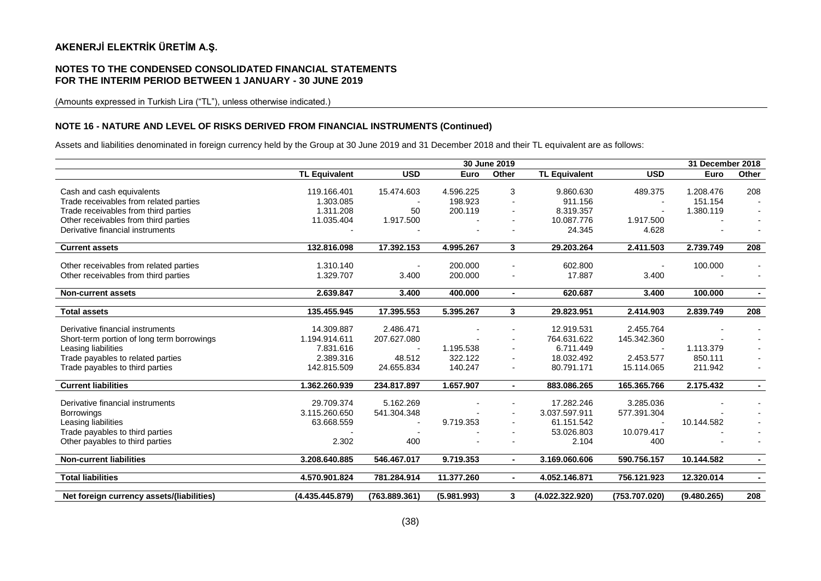#### **NOTES TO THE CONDENSED CONSOLIDATED FINANCIAL STATEMENTS FOR THE INTERIM PERIOD BETWEEN 1 JANUARY - 30 JUNE 2019**

(Amounts expressed in Turkish Lira ("TL"), unless otherwise indicated.)

#### **NOTE 16 - NATURE AND LEVEL OF RISKS DERIVED FROM FINANCIAL INSTRUMENTS (Continued)**

Assets and liabilities denominated in foreign currency held by the Group at 30 June 2019 and 31 December 2018 and their TL equivalent are as follows:

|                                            | 30 June 2019         |               |             | 31 December 2018 |                      |               |             |                          |
|--------------------------------------------|----------------------|---------------|-------------|------------------|----------------------|---------------|-------------|--------------------------|
|                                            | <b>TL Equivalent</b> | <b>USD</b>    | Euro        | Other            | <b>TL Equivalent</b> | <b>USD</b>    | Euro        | Other                    |
|                                            |                      |               |             |                  |                      |               |             |                          |
| Cash and cash equivalents                  | 119.166.401          | 15.474.603    | 4.596.225   | 3                | 9.860.630            | 489.375       | 1.208.476   | 208                      |
| Trade receivables from related parties     | 1.303.085            |               | 198.923     |                  | 911.156              |               | 151.154     |                          |
| Trade receivables from third parties       | 1.311.208            | 50            | 200.119     |                  | 8.319.357            |               | 1.380.119   |                          |
| Other receivables from third parties       | 11.035.404           | 1.917.500     |             |                  | 10.087.776           | 1.917.500     |             |                          |
| Derivative financial instruments           |                      |               |             |                  | 24.345               | 4.628         |             |                          |
| <b>Current assets</b>                      | 132.816.098          | 17.392.153    | 4.995.267   | 3 <sup>1</sup>   | 29.203.264           | 2.411.503     | 2.739.749   | 208                      |
|                                            |                      |               |             |                  |                      |               |             |                          |
| Other receivables from related parties     | 1.310.140            |               | 200.000     |                  | 602.800              |               | 100.000     |                          |
| Other receivables from third parties       | 1.329.707            | 3.400         | 200.000     |                  | 17.887               | 3.400         |             | $\overline{\phantom{a}}$ |
| <b>Non-current assets</b>                  | 2.639.847            | 3.400         | 400.000     | $\sim$           | 620.687              | 3.400         | 100.000     | $\blacksquare$           |
|                                            |                      |               |             |                  |                      |               |             |                          |
| <b>Total assets</b>                        | 135.455.945          | 17.395.553    | 5.395.267   | 3                | 29.823.951           | 2.414.903     | 2.839.749   | 208                      |
|                                            |                      |               |             |                  |                      |               |             |                          |
| Derivative financial instruments           | 14.309.887           | 2.486.471     |             |                  | 12.919.531           | 2.455.764     |             |                          |
| Short-term portion of long term borrowings | 1.194.914.611        | 207.627.080   |             |                  | 764.631.622          | 145.342.360   |             |                          |
| Leasing liabilities                        | 7.831.616            |               | 1.195.538   |                  | 6.711.449            |               | 1.113.379   |                          |
| Trade payables to related parties          | 2.389.316            | 48.512        | 322.122     |                  | 18.032.492           | 2.453.577     | 850.111     |                          |
| Trade payables to third parties            | 142.815.509          | 24.655.834    | 140.247     |                  | 80.791.171           | 15.114.065    | 211.942     |                          |
| <b>Current liabilities</b>                 | 1.362.260.939        | 234.817.897   | 1.657.907   | $\blacksquare$   | 883.086.265          | 165.365.766   | 2.175.432   | $\sim$                   |
|                                            |                      |               |             |                  |                      |               |             |                          |
| Derivative financial instruments           | 29.709.374           | 5.162.269     |             |                  | 17.282.246           | 3.285.036     |             |                          |
| <b>Borrowings</b>                          | 3.115.260.650        | 541.304.348   |             |                  | 3.037.597.911        | 577.391.304   |             |                          |
| Leasing liabilities                        | 63.668.559           |               | 9.719.353   |                  | 61.151.542           |               | 10.144.582  |                          |
| Trade payables to third parties            |                      |               |             |                  | 53.026.803           | 10.079.417    |             |                          |
| Other payables to third parties            | 2.302                | 400           |             |                  | 2.104                | 400           |             |                          |
| <b>Non-current liabilities</b>             | 3.208.640.885        | 546.467.017   | 9.719.353   | $\blacksquare$   | 3.169.060.606        | 590.756.157   | 10.144.582  | $\sim$                   |
|                                            |                      |               |             |                  |                      |               |             |                          |
| <b>Total liabilities</b>                   | 4.570.901.824        | 781.284.914   | 11.377.260  | $\blacksquare$   | 4.052.146.871        | 756.121.923   | 12.320.014  | $\sim$                   |
| Net foreign currency assets/(liabilities)  | (4.435.445.879)      | (763.889.361) | (5.981.993) | 3                | (4.022.322.920)      | (753.707.020) | (9.480.265) | 208                      |
|                                            |                      |               |             |                  |                      |               |             |                          |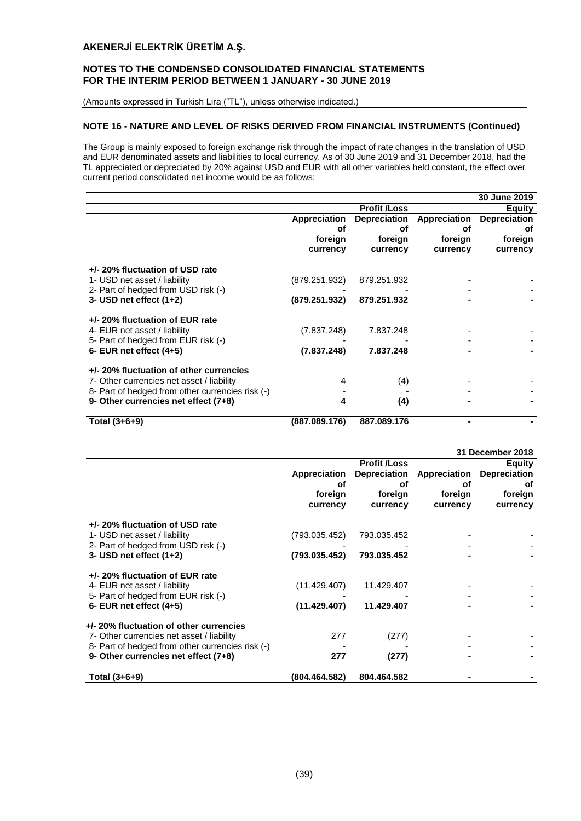## **NOTES TO THE CONDENSED CONSOLIDATED FINANCIAL STATEMENTS FOR THE INTERIM PERIOD BETWEEN 1 JANUARY - 30 JUNE 2019**

(Amounts expressed in Turkish Lira ("TL"), unless otherwise indicated.)

## **NOTE 16 - NATURE AND LEVEL OF RISKS DERIVED FROM FINANCIAL INSTRUMENTS (Continued)**

The Group is mainly exposed to foreign exchange risk through the impact of rate changes in the translation of USD and EUR denominated assets and liabilities to local currency. As of 30 June 2019 and 31 December 2018, had the TL appreciated or depreciated by 20% against USD and EUR with all other variables held constant, the effect over current period consolidated net income would be as follows:

|                                                                 |               |                     |              | 30 June 2019        |
|-----------------------------------------------------------------|---------------|---------------------|--------------|---------------------|
|                                                                 |               | <b>Profit /Loss</b> |              | <b>Equity</b>       |
|                                                                 | Appreciation  | Depreciation        | Appreciation | <b>Depreciation</b> |
|                                                                 | οf            | оf                  | οf           | οf                  |
|                                                                 | foreign       | foreign             | foreign      | foreign             |
|                                                                 | currency      | currency            | currency     | currency            |
| +/- 20% fluctuation of USD rate<br>1- USD net asset / liability | (879.251.932) | 879.251.932         |              |                     |
| 2- Part of hedged from USD risk (-)                             |               |                     |              |                     |
| 3- USD net effect $(1+2)$                                       | (879.251.932) | 879.251.932         |              |                     |
| +/- 20% fluctuation of EUR rate                                 |               |                     |              |                     |
| 4- EUR net asset / liability                                    | (7.837.248)   | 7.837.248           |              |                     |
| 5- Part of hedged from EUR risk (-)                             |               |                     |              |                     |
| $6$ - EUR net effect $(4+5)$                                    | (7.837.248)   | 7.837.248           |              |                     |
| +/- 20% fluctuation of other currencies                         |               |                     |              |                     |
| 7- Other currencies net asset / liability                       | 4             | (4)                 |              |                     |
| 8- Part of hedged from other currencies risk (-)                |               |                     |              |                     |
| 9- Other currencies net effect (7+8)                            | 4             | (4)                 |              |                     |
| Total (3+6+9)                                                   | (887.089.176) | 887.089.176         |              |                     |

|                                                                     |               |                     |              | 31 December 2018    |
|---------------------------------------------------------------------|---------------|---------------------|--------------|---------------------|
|                                                                     |               | <b>Profit /Loss</b> |              | <b>Equity</b>       |
|                                                                     | Appreciation  | <b>Depreciation</b> | Appreciation | <b>Depreciation</b> |
|                                                                     | οf            | οf                  | οf           | οf                  |
|                                                                     | foreign       | foreign             | foreign      | foreign             |
|                                                                     | currency      | currency            | currency     | currency            |
| +/- 20% fluctuation of USD rate                                     |               |                     |              |                     |
| 1- USD net asset / liability<br>2- Part of hedged from USD risk (-) | (793.035.452) | 793.035.452         |              |                     |
| 3- USD net effect (1+2)                                             | (793.035.452) | 793.035.452         |              |                     |
| +/- 20% fluctuation of EUR rate                                     |               |                     |              |                     |
| 4- EUR net asset / liability                                        | (11.429.407)  | 11.429.407          |              |                     |
| 5- Part of hedged from EUR risk (-)                                 |               |                     |              |                     |
| 6- EUR net effect $(4+5)$                                           | (11.429.407)  | 11.429.407          |              |                     |
| +/- 20% fluctuation of other currencies                             |               |                     |              |                     |
| 7- Other currencies net asset / liability                           | 277           | (277)               |              |                     |
| 8- Part of hedged from other currencies risk (-)                    |               |                     |              |                     |
| 9- Other currencies net effect (7+8)                                | 277           | (277)               |              |                     |
| Total (3+6+9)                                                       | (804.464.582) | 804.464.582         |              |                     |